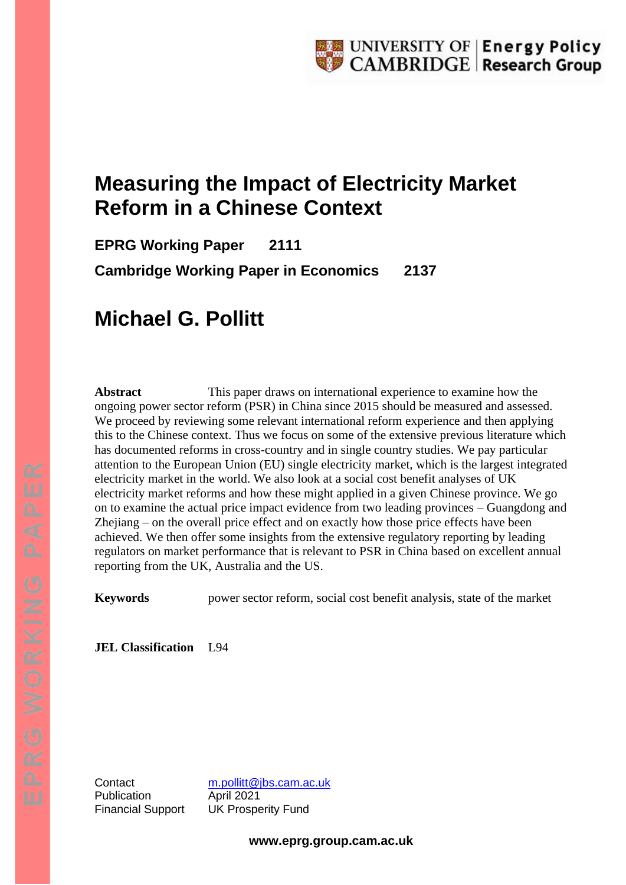# **Measuring the Impact of Electricity Market Reform in a Chinese Context**

**EPRG Working Paper 2111 Cambridge Working Paper in Economics 2137**

# **Michael G. Pollitt**

**Abstract** This paper draws on international experience to examine how the ongoing power sector reform (PSR) in China since 2015 should be measured and assessed. We proceed by reviewing some relevant international reform experience and then applying this to the Chinese context. Thus we focus on some of the extensive previous literature which has documented reforms in cross-country and in single country studies. We pay particular attention to the European Union (EU) single electricity market, which is the largest integrated electricity market in the world. We also look at a social cost benefit analyses of UK electricity market reforms and how these might applied in a given Chinese province. We go on to examine the actual price impact evidence from two leading provinces – Guangdong and Zhejiang – on the overall price effect and on exactly how those price effects have been achieved. We then offer some insights from the extensive regulatory reporting by leading regulators on market performance that is relevant to PSR in China based on excellent annual reporting from the UK, Australia and the US.

**Keywords** power sector reform, social cost benefit analysis, state of the market

**JEL Classification** L94

Publication **April 2021** 

Contact [m.pollitt@jbs.cam.ac.uk](mailto:m.pollitt@jbs.cam.ac.uk) Financial Support UK Prosperity Fund

**www.eprg.group.cam.ac.uk**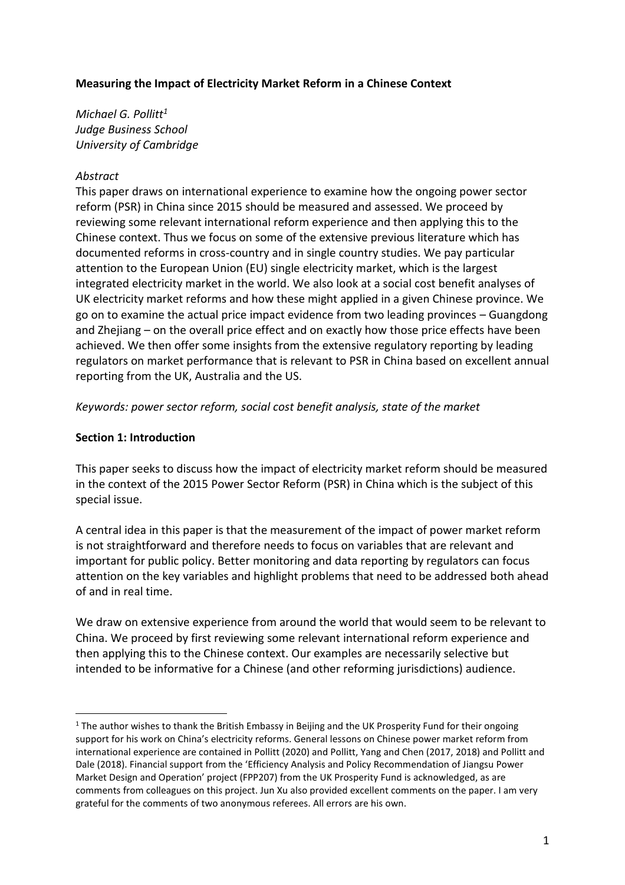## **Measuring the Impact of Electricity Market Reform in a Chinese Context**

*Michael G. Pollitt<sup>1</sup> Judge Business School University of Cambridge*

## *Abstract*

This paper draws on international experience to examine how the ongoing power sector reform (PSR) in China since 2015 should be measured and assessed. We proceed by reviewing some relevant international reform experience and then applying this to the Chinese context. Thus we focus on some of the extensive previous literature which has documented reforms in cross-country and in single country studies. We pay particular attention to the European Union (EU) single electricity market, which is the largest integrated electricity market in the world. We also look at a social cost benefit analyses of UK electricity market reforms and how these might applied in a given Chinese province. We go on to examine the actual price impact evidence from two leading provinces – Guangdong and Zhejiang – on the overall price effect and on exactly how those price effects have been achieved. We then offer some insights from the extensive regulatory reporting by leading regulators on market performance that is relevant to PSR in China based on excellent annual reporting from the UK, Australia and the US.

*Keywords: power sector reform, social cost benefit analysis, state of the market*

## **Section 1: Introduction**

This paper seeks to discuss how the impact of electricity market reform should be measured in the context of the 2015 Power Sector Reform (PSR) in China which is the subject of this special issue.

A central idea in this paper is that the measurement of the impact of power market reform is not straightforward and therefore needs to focus on variables that are relevant and important for public policy. Better monitoring and data reporting by regulators can focus attention on the key variables and highlight problems that need to be addressed both ahead of and in real time.

We draw on extensive experience from around the world that would seem to be relevant to China. We proceed by first reviewing some relevant international reform experience and then applying this to the Chinese context. Our examples are necessarily selective but intended to be informative for a Chinese (and other reforming jurisdictions) audience.

<sup>&</sup>lt;sup>1</sup> The author wishes to thank the British Embassy in Beijing and the UK Prosperity Fund for their ongoing support for his work on China's electricity reforms. General lessons on Chinese power market reform from international experience are contained in Pollitt (2020) and Pollitt, Yang and Chen (2017, 2018) and Pollitt and Dale (2018). Financial support from the 'Efficiency Analysis and Policy Recommendation of Jiangsu Power Market Design and Operation' project (FPP207) from the UK Prosperity Fund is acknowledged, as are comments from colleagues on this project. Jun Xu also provided excellent comments on the paper. I am very grateful for the comments of two anonymous referees. All errors are his own.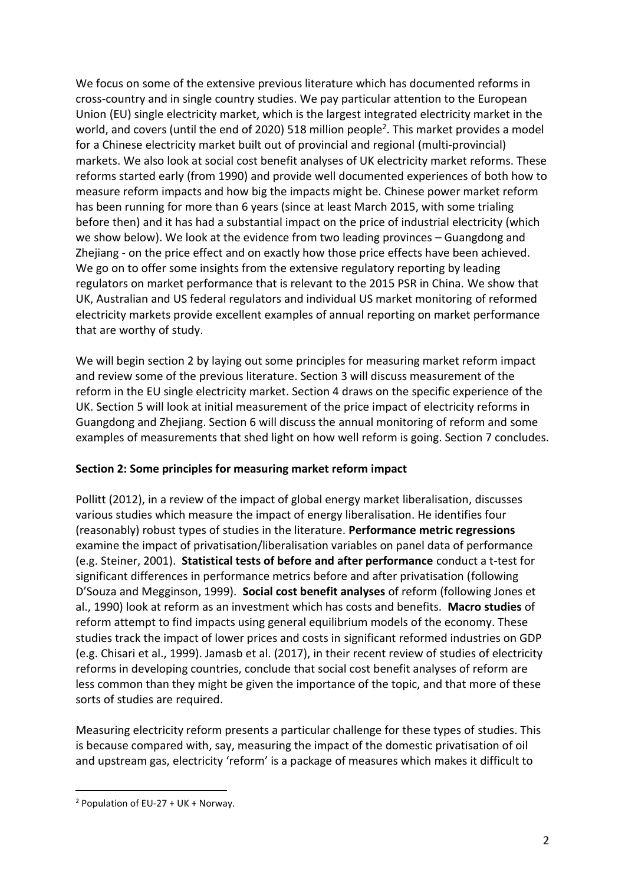We focus on some of the extensive previous literature which has documented reforms in cross-country and in single country studies. We pay particular attention to the European Union (EU) single electricity market, which is the largest integrated electricity market in the world, and covers (until the end of 2020) 518 million people<sup>2</sup>. This market provides a model for a Chinese electricity market built out of provincial and regional (multi-provincial) markets. We also look at social cost benefit analyses of UK electricity market reforms. These reforms started early (from 1990) and provide well documented experiences of both how to measure reform impacts and how big the impacts might be. Chinese power market reform has been running for more than 6 years (since at least March 2015, with some trialing before then) and it has had a substantial impact on the price of industrial electricity (which we show below). We look at the evidence from two leading provinces – Guangdong and Zhejiang - on the price effect and on exactly how those price effects have been achieved. We go on to offer some insights from the extensive regulatory reporting by leading regulators on market performance that is relevant to the 2015 PSR in China. We show that UK, Australian and US federal regulators and individual US market monitoring of reformed electricity markets provide excellent examples of annual reporting on market performance that are worthy of study.

We will begin section 2 by laying out some principles for measuring market reform impact and review some of the previous literature. Section 3 will discuss measurement of the reform in the EU single electricity market. Section 4 draws on the specific experience of the UK. Section 5 will look at initial measurement of the price impact of electricity reforms in Guangdong and Zhejiang. Section 6 will discuss the annual monitoring of reform and some examples of measurements that shed light on how well reform is going. Section 7 concludes.

# **Section 2: Some principles for measuring market reform impact**

Pollitt (2012), in a review of the impact of global energy market liberalisation, discusses various studies which measure the impact of energy liberalisation. He identifies four (reasonably) robust types of studies in the literature. **Performance metric regressions** examine the impact of privatisation/liberalisation variables on panel data of performance (e.g. Steiner, 2001). **Statistical tests of before and after performance** conduct a t-test for significant differences in performance metrics before and after privatisation (following D'Souza and Megginson, 1999). **Social cost benefit analyses** of reform (following Jones et al., 1990) look at reform as an investment which has costs and benefits. **Macro studies** of reform attempt to find impacts using general equilibrium models of the economy. These studies track the impact of lower prices and costs in significant reformed industries on GDP (e.g. Chisari et al., 1999). Jamasb et al. (2017), in their recent review of studies of electricity reforms in developing countries, conclude that social cost benefit analyses of reform are less common than they might be given the importance of the topic, and that more of these sorts of studies are required.

Measuring electricity reform presents a particular challenge for these types of studies. This is because compared with, say, measuring the impact of the domestic privatisation of oil and upstream gas, electricity 'reform' is a package of measures which makes it difficult to

<sup>2</sup> Population of EU-27 + UK + Norway.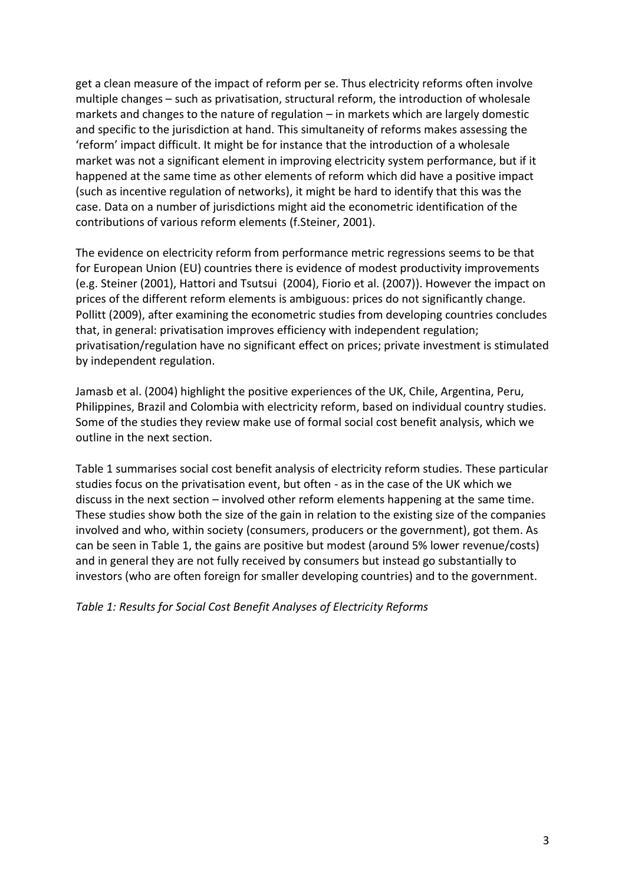get a clean measure of the impact of reform per se. Thus electricity reforms often involve multiple changes – such as privatisation, structural reform, the introduction of wholesale markets and changes to the nature of regulation – in markets which are largely domestic and specific to the jurisdiction at hand. This simultaneity of reforms makes assessing the 'reform' impact difficult. It might be for instance that the introduction of a wholesale market was not a significant element in improving electricity system performance, but if it happened at the same time as other elements of reform which did have a positive impact (such as incentive regulation of networks), it might be hard to identify that this was the case. Data on a number of jurisdictions might aid the econometric identification of the contributions of various reform elements (f.Steiner, 2001).

The evidence on electricity reform from performance metric regressions seems to be that for European Union (EU) countries there is evidence of modest productivity improvements (e.g. Steiner (2001), Hattori and Tsutsui (2004), Fiorio et al. (2007)). However the impact on prices of the different reform elements is ambiguous: prices do not significantly change. Pollitt (2009), after examining the econometric studies from developing countries concludes that, in general: privatisation improves efficiency with independent regulation; privatisation/regulation have no significant effect on prices; private investment is stimulated by independent regulation.

Jamasb et al. (2004) highlight the positive experiences of the UK, Chile, Argentina, Peru, Philippines, Brazil and Colombia with electricity reform, based on individual country studies. Some of the studies they review make use of formal social cost benefit analysis, which we outline in the next section.

Table 1 summarises social cost benefit analysis of electricity reform studies. These particular studies focus on the privatisation event, but often - as in the case of the UK which we discuss in the next section – involved other reform elements happening at the same time. These studies show both the size of the gain in relation to the existing size of the companies involved and who, within society (consumers, producers or the government), got them. As can be seen in Table 1, the gains are positive but modest (around 5% lower revenue/costs) and in general they are not fully received by consumers but instead go substantially to investors (who are often foreign for smaller developing countries) and to the government.

*Table 1: Results for Social Cost Benefit Analyses of Electricity Reforms*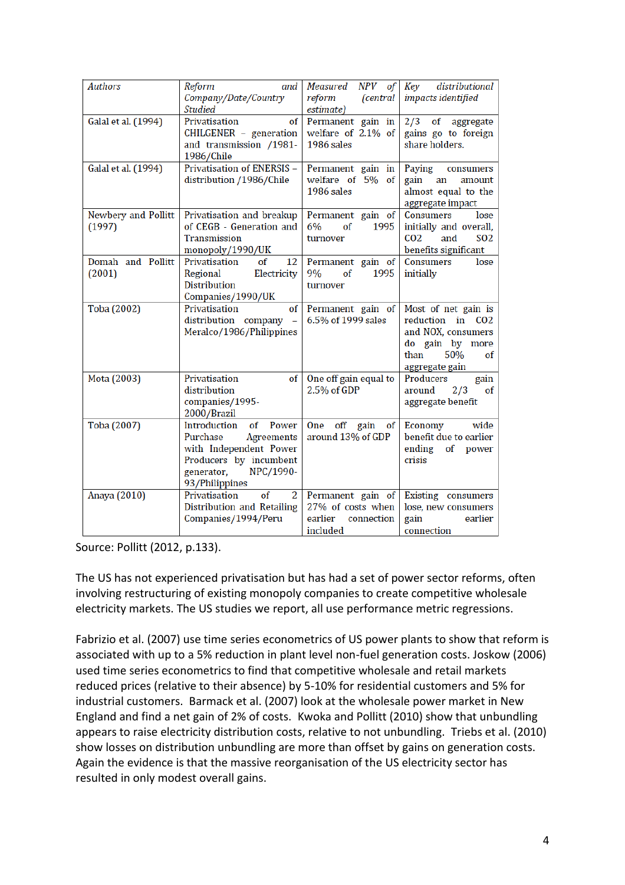| <b>Authors</b>                | Reform<br>and<br>Company/Date/Country<br><b>Studied</b>                                                                                                | NPV<br>Measured<br>of<br>reform<br><i>(central</i><br>estimate)             | distributional<br>Key<br>impacts identified                                                                              |
|-------------------------------|--------------------------------------------------------------------------------------------------------------------------------------------------------|-----------------------------------------------------------------------------|--------------------------------------------------------------------------------------------------------------------------|
| Galal et al. (1994)           | Privatisation<br>of<br>CHILGENER - generation<br>and transmission /1981-<br>1986/Chile                                                                 | Permanent gain in<br>welfare of 2.1% of<br>1986 sales                       | of aggregate<br>2/3<br>gains go to foreign<br>share holders.                                                             |
| Galal et al. (1994)           | Privatisation of ENERSIS -<br>distribution /1986/Chile                                                                                                 | Permanent gain in<br>welfare of 5% of<br>1986 sales                         | Paying<br>consumers<br>gain<br>an<br>amount<br>almost equal to the<br>aggregate impact                                   |
| Newbery and Pollitt<br>(1997) | Privatisation and breakup<br>of CEGB - Generation and<br><b>Transmission</b><br>monopoly/1990/UK                                                       | Permanent gain of<br>6%<br>of<br>1995<br>turnover                           | <b>Consumers</b><br>lose<br>initially and overall,<br>CO <sub>2</sub><br>S <sub>0</sub> 2<br>and<br>benefits significant |
| Domah and Pollitt<br>(2001)   | Privatisation<br>of<br>12<br>Regional<br>Electricity<br><b>Distribution</b><br>Companies/1990/UK                                                       | Permanent gain of<br>9%<br>of<br>1995<br>turnover                           | <b>Consumers</b><br>lose<br>initially                                                                                    |
| Toba (2002)                   | Privatisation<br>of<br>distribution company -<br>Meralco/1986/Philippines                                                                              | Permanent gain of<br>6.5% of 1999 sales                                     | Most of net gain is<br>reduction in CO2<br>and NOX, consumers<br>do gain by more<br>50%<br>than<br>of<br>aggregate gain  |
| Mota (2003)                   | Privatisation<br>of<br>distribution<br>companies/1995-<br>2000/Brazil                                                                                  | One off gain equal to<br>2.5% of GDP                                        | Producers<br>gain<br>around<br>2/3<br>οf<br>aggregate benefit                                                            |
| Toba (2007)                   | Introduction<br>of<br>Power<br>Purchase<br>Agreements<br>with Independent Power<br>Producers by incumbent<br>generator,<br>NPC/1990-<br>93/Philippines | off<br>One<br>of<br>gain<br>around 13% of GDP                               | wide<br><b>Economy</b><br>benefit due to earlier<br>ending<br>of<br>power<br>crisis                                      |
| Anaya (2010)                  | Privatisation<br>$\overline{2}$<br>of<br><b>Distribution and Retailing</b><br>Companies/1994/Peru                                                      | Permanent gain of<br>27% of costs when<br>earlier<br>connection<br>included | Existing consumers<br>lose, new consumers<br>gain<br>earlier<br>connection                                               |

Source: Pollitt (2012, p.133).

The US has not experienced privatisation but has had a set of power sector reforms, often involving restructuring of existing monopoly companies to create competitive wholesale electricity markets. The US studies we report, all use performance metric regressions.

Fabrizio et al. (2007) use time series econometrics of US power plants to show that reform is associated with up to a 5% reduction in plant level non-fuel generation costs. Joskow (2006) used time series econometrics to find that competitive wholesale and retail markets reduced prices (relative to their absence) by 5-10% for residential customers and 5% for industrial customers. Barmack et al. (2007) look at the wholesale power market in New England and find a net gain of 2% of costs. Kwoka and Pollitt (2010) show that unbundling appears to raise electricity distribution costs, relative to not unbundling. Triebs et al. (2010) show losses on distribution unbundling are more than offset by gains on generation costs. Again the evidence is that the massive reorganisation of the US electricity sector has resulted in only modest overall gains.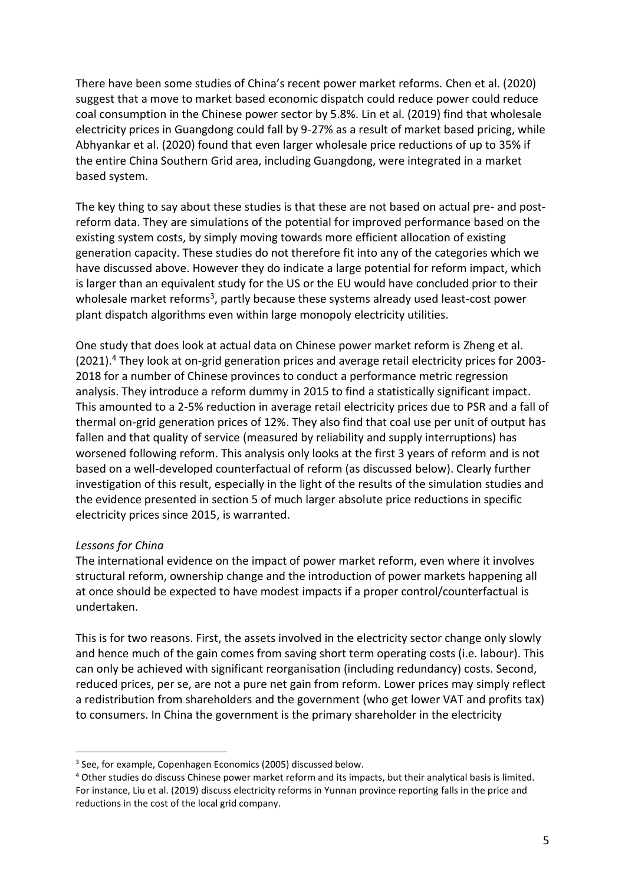There have been some studies of China's recent power market reforms. Chen et al. (2020) suggest that a move to market based economic dispatch could reduce power could reduce coal consumption in the Chinese power sector by 5.8%. Lin et al. (2019) find that wholesale electricity prices in Guangdong could fall by 9-27% as a result of market based pricing, while Abhyankar et al. (2020) found that even larger wholesale price reductions of up to 35% if the entire China Southern Grid area, including Guangdong, were integrated in a market based system.

The key thing to say about these studies is that these are not based on actual pre- and postreform data. They are simulations of the potential for improved performance based on the existing system costs, by simply moving towards more efficient allocation of existing generation capacity. These studies do not therefore fit into any of the categories which we have discussed above. However they do indicate a large potential for reform impact, which is larger than an equivalent study for the US or the EU would have concluded prior to their wholesale market reforms<sup>3</sup>, partly because these systems already used least-cost power plant dispatch algorithms even within large monopoly electricity utilities.

One study that does look at actual data on Chinese power market reform is Zheng et al. (2021).<sup>4</sup> They look at on-grid generation prices and average retail electricity prices for 2003- 2018 for a number of Chinese provinces to conduct a performance metric regression analysis. They introduce a reform dummy in 2015 to find a statistically significant impact. This amounted to a 2-5% reduction in average retail electricity prices due to PSR and a fall of thermal on-grid generation prices of 12%. They also find that coal use per unit of output has fallen and that quality of service (measured by reliability and supply interruptions) has worsened following reform. This analysis only looks at the first 3 years of reform and is not based on a well-developed counterfactual of reform (as discussed below). Clearly further investigation of this result, especially in the light of the results of the simulation studies and the evidence presented in section 5 of much larger absolute price reductions in specific electricity prices since 2015, is warranted.

#### *Lessons for China*

The international evidence on the impact of power market reform, even where it involves structural reform, ownership change and the introduction of power markets happening all at once should be expected to have modest impacts if a proper control/counterfactual is undertaken.

This is for two reasons. First, the assets involved in the electricity sector change only slowly and hence much of the gain comes from saving short term operating costs (i.e. labour). This can only be achieved with significant reorganisation (including redundancy) costs. Second, reduced prices, per se, are not a pure net gain from reform. Lower prices may simply reflect a redistribution from shareholders and the government (who get lower VAT and profits tax) to consumers. In China the government is the primary shareholder in the electricity

<sup>&</sup>lt;sup>3</sup> See, for example, Copenhagen Economics (2005) discussed below.

<sup>4</sup> Other studies do discuss Chinese power market reform and its impacts, but their analytical basis is limited. For instance, Liu et al. (2019) discuss electricity reforms in Yunnan province reporting falls in the price and reductions in the cost of the local grid company.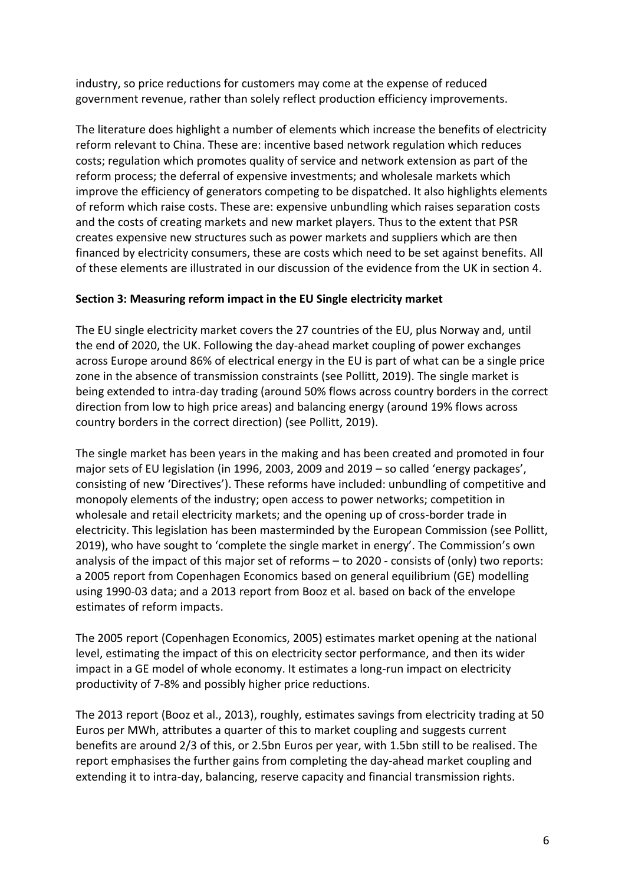industry, so price reductions for customers may come at the expense of reduced government revenue, rather than solely reflect production efficiency improvements.

The literature does highlight a number of elements which increase the benefits of electricity reform relevant to China. These are: incentive based network regulation which reduces costs; regulation which promotes quality of service and network extension as part of the reform process; the deferral of expensive investments; and wholesale markets which improve the efficiency of generators competing to be dispatched. It also highlights elements of reform which raise costs. These are: expensive unbundling which raises separation costs and the costs of creating markets and new market players. Thus to the extent that PSR creates expensive new structures such as power markets and suppliers which are then financed by electricity consumers, these are costs which need to be set against benefits. All of these elements are illustrated in our discussion of the evidence from the UK in section 4.

# **Section 3: Measuring reform impact in the EU Single electricity market**

The EU single electricity market covers the 27 countries of the EU, plus Norway and, until the end of 2020, the UK. Following the day-ahead market coupling of power exchanges across Europe around 86% of electrical energy in the EU is part of what can be a single price zone in the absence of transmission constraints (see Pollitt, 2019). The single market is being extended to intra-day trading (around 50% flows across country borders in the correct direction from low to high price areas) and balancing energy (around 19% flows across country borders in the correct direction) (see Pollitt, 2019).

The single market has been years in the making and has been created and promoted in four major sets of EU legislation (in 1996, 2003, 2009 and 2019 – so called 'energy packages', consisting of new 'Directives'). These reforms have included: unbundling of competitive and monopoly elements of the industry; open access to power networks; competition in wholesale and retail electricity markets; and the opening up of cross-border trade in electricity. This legislation has been masterminded by the European Commission (see Pollitt, 2019), who have sought to 'complete the single market in energy'. The Commission's own analysis of the impact of this major set of reforms – to 2020 - consists of (only) two reports: a 2005 report from Copenhagen Economics based on general equilibrium (GE) modelling using 1990-03 data; and a 2013 report from Booz et al. based on back of the envelope estimates of reform impacts.

The 2005 report (Copenhagen Economics, 2005) estimates market opening at the national level, estimating the impact of this on electricity sector performance, and then its wider impact in a GE model of whole economy. It estimates a long-run impact on electricity productivity of 7-8% and possibly higher price reductions.

The 2013 report (Booz et al., 2013), roughly, estimates savings from electricity trading at 50 Euros per MWh, attributes a quarter of this to market coupling and suggests current benefits are around 2/3 of this, or 2.5bn Euros per year, with 1.5bn still to be realised. The report emphasises the further gains from completing the day-ahead market coupling and extending it to intra-day, balancing, reserve capacity and financial transmission rights.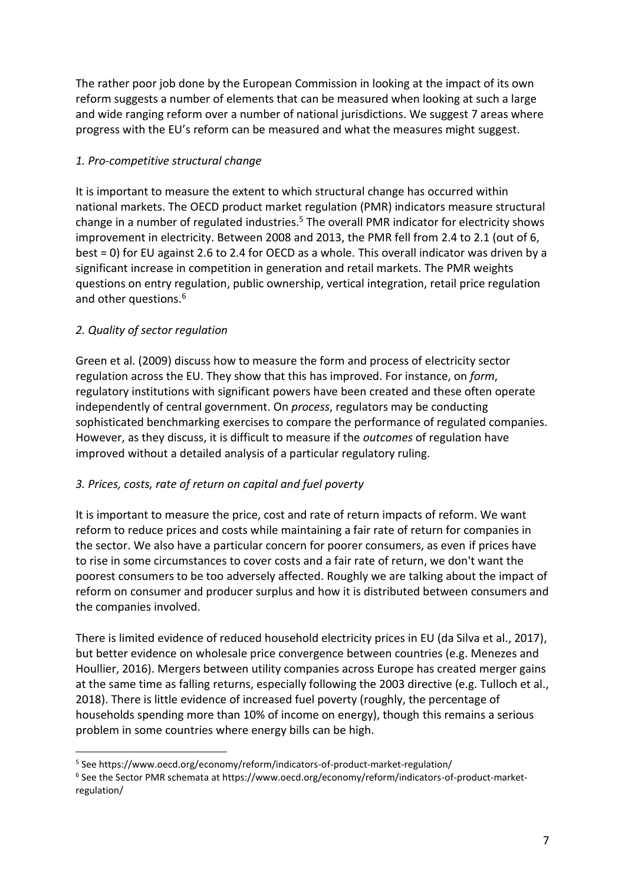The rather poor job done by the European Commission in looking at the impact of its own reform suggests a number of elements that can be measured when looking at such a large and wide ranging reform over a number of national jurisdictions. We suggest 7 areas where progress with the EU's reform can be measured and what the measures might suggest.

# *1. Pro-competitive structural change*

It is important to measure the extent to which structural change has occurred within national markets. The OECD product market regulation (PMR) indicators measure structural change in a number of regulated industries.<sup>5</sup> The overall PMR indicator for electricity shows improvement in electricity. Between 2008 and 2013, the PMR fell from 2.4 to 2.1 (out of 6, best = 0) for EU against 2.6 to 2.4 for OECD as a whole. This overall indicator was driven by a significant increase in competition in generation and retail markets. The PMR weights questions on entry regulation, public ownership, vertical integration, retail price regulation and other questions.<sup>6</sup>

# *2. Quality of sector regulation*

Green et al. (2009) discuss how to measure the form and process of electricity sector regulation across the EU. They show that this has improved. For instance, on *form*, regulatory institutions with significant powers have been created and these often operate independently of central government. On *process*, regulators may be conducting sophisticated benchmarking exercises to compare the performance of regulated companies. However, as they discuss, it is difficult to measure if the *outcomes* of regulation have improved without a detailed analysis of a particular regulatory ruling.

# *3. Prices, costs, rate of return on capital and fuel poverty*

It is important to measure the price, cost and rate of return impacts of reform. We want reform to reduce prices and costs while maintaining a fair rate of return for companies in the sector. We also have a particular concern for poorer consumers, as even if prices have to rise in some circumstances to cover costs and a fair rate of return, we don't want the poorest consumers to be too adversely affected. Roughly we are talking about the impact of reform on consumer and producer surplus and how it is distributed between consumers and the companies involved.

There is limited evidence of reduced household electricity prices in EU (da Silva et al., 2017), but better evidence on wholesale price convergence between countries (e.g. Menezes and Houllier, 2016). Mergers between utility companies across Europe has created merger gains at the same time as falling returns, especially following the 2003 directive (e.g. Tulloch et al., 2018). There is little evidence of increased fuel poverty (roughly, the percentage of households spending more than 10% of income on energy), though this remains a serious problem in some countries where energy bills can be high.

<sup>5</sup> See https://www.oecd.org/economy/reform/indicators-of-product-market-regulation/

<sup>6</sup> See the Sector PMR schemata at https://www.oecd.org/economy/reform/indicators-of-product-marketregulation/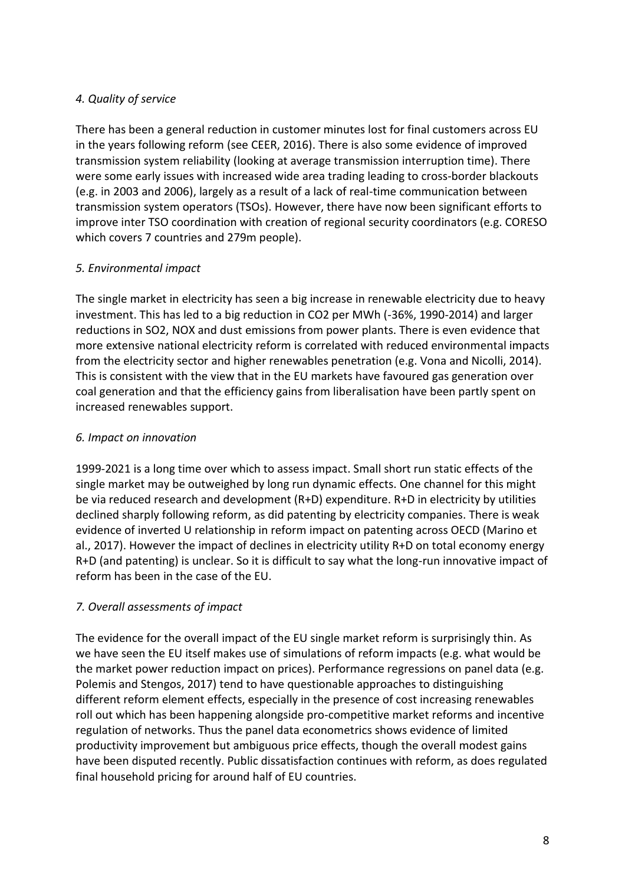# *4. Quality of service*

There has been a general reduction in customer minutes lost for final customers across EU in the years following reform (see CEER, 2016). There is also some evidence of improved transmission system reliability (looking at average transmission interruption time). There were some early issues with increased wide area trading leading to cross-border blackouts (e.g. in 2003 and 2006), largely as a result of a lack of real-time communication between transmission system operators (TSOs). However, there have now been significant efforts to improve inter TSO coordination with creation of regional security coordinators (e.g. CORESO which covers 7 countries and 279m people).

# *5. Environmental impact*

The single market in electricity has seen a big increase in renewable electricity due to heavy investment. This has led to a big reduction in CO2 per MWh (-36%, 1990-2014) and larger reductions in SO2, NOX and dust emissions from power plants. There is even evidence that more extensive national electricity reform is correlated with reduced environmental impacts from the electricity sector and higher renewables penetration (e.g. Vona and Nicolli, 2014). This is consistent with the view that in the EU markets have favoured gas generation over coal generation and that the efficiency gains from liberalisation have been partly spent on increased renewables support.

# *6. Impact on innovation*

1999-2021 is a long time over which to assess impact. Small short run static effects of the single market may be outweighed by long run dynamic effects. One channel for this might be via reduced research and development (R+D) expenditure. R+D in electricity by utilities declined sharply following reform, as did patenting by electricity companies. There is weak evidence of inverted U relationship in reform impact on patenting across OECD (Marino et al., 2017). However the impact of declines in electricity utility R+D on total economy energy R+D (and patenting) is unclear. So it is difficult to say what the long-run innovative impact of reform has been in the case of the EU.

# *7. Overall assessments of impact*

The evidence for the overall impact of the EU single market reform is surprisingly thin. As we have seen the EU itself makes use of simulations of reform impacts (e.g. what would be the market power reduction impact on prices). Performance regressions on panel data (e.g. Polemis and Stengos, 2017) tend to have questionable approaches to distinguishing different reform element effects, especially in the presence of cost increasing renewables roll out which has been happening alongside pro-competitive market reforms and incentive regulation of networks. Thus the panel data econometrics shows evidence of limited productivity improvement but ambiguous price effects, though the overall modest gains have been disputed recently. Public dissatisfaction continues with reform, as does regulated final household pricing for around half of EU countries.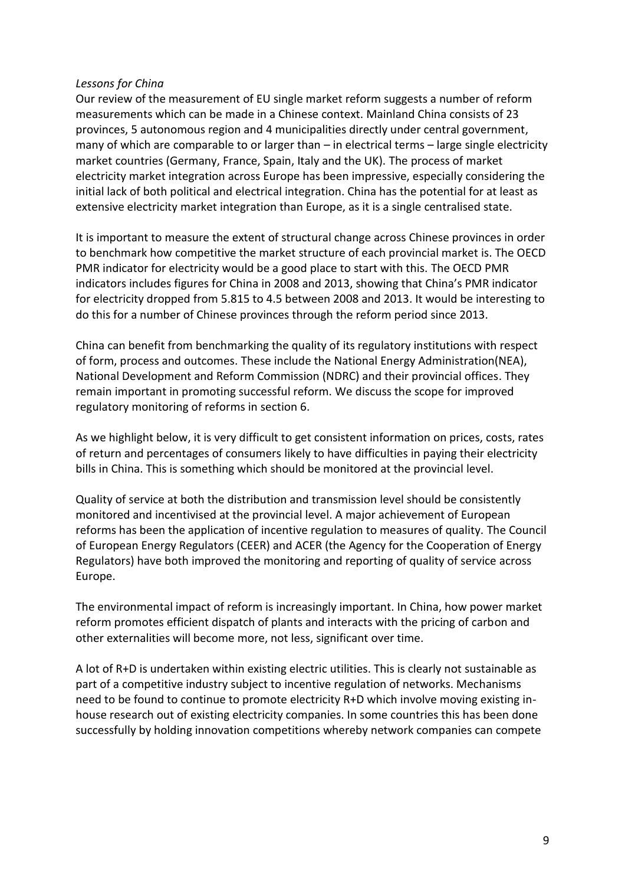#### *Lessons for China*

Our review of the measurement of EU single market reform suggests a number of reform measurements which can be made in a Chinese context. Mainland China consists of 23 provinces, 5 autonomous region and 4 municipalities directly under central government, many of which are comparable to or larger than – in electrical terms – large single electricity market countries (Germany, France, Spain, Italy and the UK). The process of market electricity market integration across Europe has been impressive, especially considering the initial lack of both political and electrical integration. China has the potential for at least as extensive electricity market integration than Europe, as it is a single centralised state.

It is important to measure the extent of structural change across Chinese provinces in order to benchmark how competitive the market structure of each provincial market is. The OECD PMR indicator for electricity would be a good place to start with this. The OECD PMR indicators includes figures for China in 2008 and 2013, showing that China's PMR indicator for electricity dropped from 5.815 to 4.5 between 2008 and 2013. It would be interesting to do this for a number of Chinese provinces through the reform period since 2013.

China can benefit from benchmarking the quality of its regulatory institutions with respect of form, process and outcomes. These include the National Energy Administration(NEA), National Development and Reform Commission (NDRC) and their provincial offices. They remain important in promoting successful reform. We discuss the scope for improved regulatory monitoring of reforms in section 6.

As we highlight below, it is very difficult to get consistent information on prices, costs, rates of return and percentages of consumers likely to have difficulties in paying their electricity bills in China. This is something which should be monitored at the provincial level.

Quality of service at both the distribution and transmission level should be consistently monitored and incentivised at the provincial level. A major achievement of European reforms has been the application of incentive regulation to measures of quality. The Council of European Energy Regulators (CEER) and ACER (the Agency for the Cooperation of Energy Regulators) have both improved the monitoring and reporting of quality of service across Europe.

The environmental impact of reform is increasingly important. In China, how power market reform promotes efficient dispatch of plants and interacts with the pricing of carbon and other externalities will become more, not less, significant over time.

A lot of R+D is undertaken within existing electric utilities. This is clearly not sustainable as part of a competitive industry subject to incentive regulation of networks. Mechanisms need to be found to continue to promote electricity R+D which involve moving existing inhouse research out of existing electricity companies. In some countries this has been done successfully by holding innovation competitions whereby network companies can compete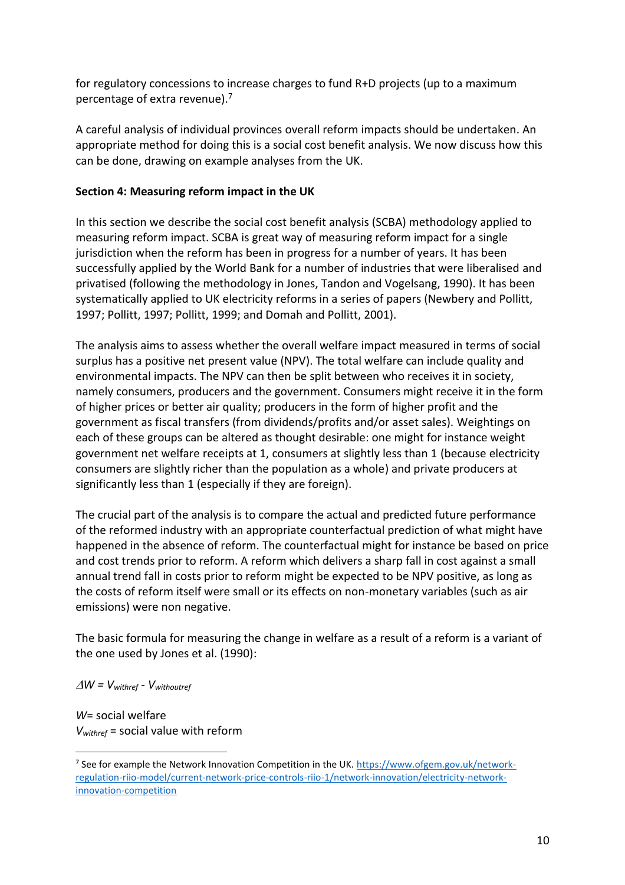for regulatory concessions to increase charges to fund R+D projects (up to a maximum percentage of extra revenue).<sup>7</sup>

A careful analysis of individual provinces overall reform impacts should be undertaken. An appropriate method for doing this is a social cost benefit analysis. We now discuss how this can be done, drawing on example analyses from the UK.

## **Section 4: Measuring reform impact in the UK**

In this section we describe the social cost benefit analysis (SCBA) methodology applied to measuring reform impact. SCBA is great way of measuring reform impact for a single jurisdiction when the reform has been in progress for a number of years. It has been successfully applied by the World Bank for a number of industries that were liberalised and privatised (following the methodology in Jones, Tandon and Vogelsang, 1990). It has been systematically applied to UK electricity reforms in a series of papers (Newbery and Pollitt, 1997; Pollitt, 1997; Pollitt, 1999; and Domah and Pollitt, 2001).

The analysis aims to assess whether the overall welfare impact measured in terms of social surplus has a positive net present value (NPV). The total welfare can include quality and environmental impacts. The NPV can then be split between who receives it in society, namely consumers, producers and the government. Consumers might receive it in the form of higher prices or better air quality; producers in the form of higher profit and the government as fiscal transfers (from dividends/profits and/or asset sales). Weightings on each of these groups can be altered as thought desirable: one might for instance weight government net welfare receipts at 1, consumers at slightly less than 1 (because electricity consumers are slightly richer than the population as a whole) and private producers at significantly less than 1 (especially if they are foreign).

The crucial part of the analysis is to compare the actual and predicted future performance of the reformed industry with an appropriate counterfactual prediction of what might have happened in the absence of reform. The counterfactual might for instance be based on price and cost trends prior to reform. A reform which delivers a sharp fall in cost against a small annual trend fall in costs prior to reform might be expected to be NPV positive, as long as the costs of reform itself were small or its effects on non-monetary variables (such as air emissions) were non negative.

The basic formula for measuring the change in welfare as a result of a reform is a variant of the one used by Jones et al. (1990):

 $\Delta W = V_{\text{withref}} - V_{\text{withoutref}}$ 

*W*= social welfare *Vwithref* = social value with reform

<sup>&</sup>lt;sup>7</sup> See for example the Network Innovation Competition in the UK. <u>https://www.ofgem.gov.uk/network-</u> [regulation-riio-model/current-network-price-controls-riio-1/network-innovation/electricity-network](https://www.ofgem.gov.uk/network-regulation-riio-model/current-network-price-controls-riio-1/network-innovation/electricity-network-innovation-competition)[innovation-competition](https://www.ofgem.gov.uk/network-regulation-riio-model/current-network-price-controls-riio-1/network-innovation/electricity-network-innovation-competition)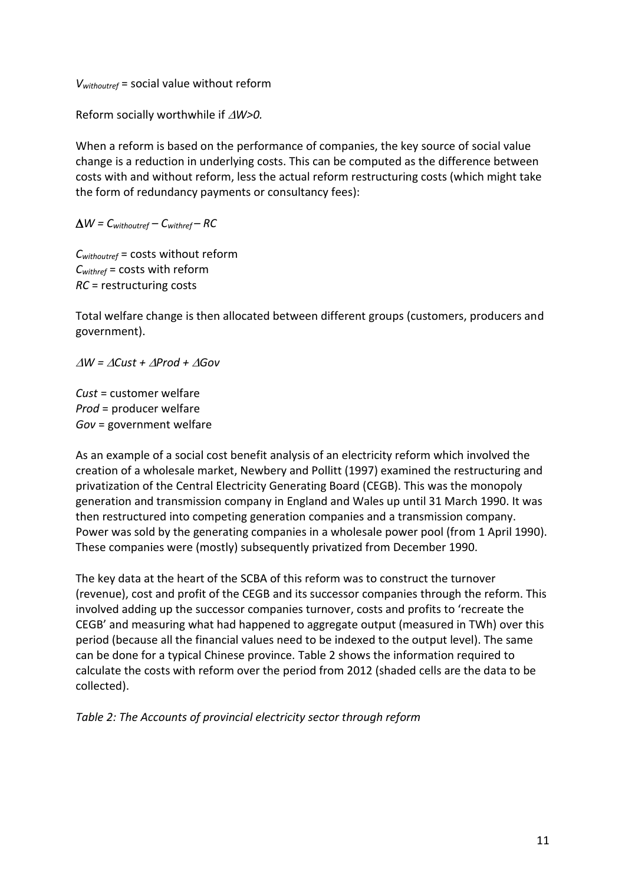*Vwithoutref* = social value without reform

Reform socially worthwhile if  $\triangle$ *W>0.* 

When a reform is based on the performance of companies, the key source of social value change is a reduction in underlying costs. This can be computed as the difference between costs with and without reform, less the actual reform restructuring costs (which might take the form of redundancy payments or consultancy fees):

 $\Delta W = C_{withoutref} - C_{withref} - RC$ 

*Cwithoutref* = costs without reform *Cwithref* = costs with reform *RC* = restructuring costs

Total welfare change is then allocated between different groups (customers, producers and government).

*W = Cust + Prod + Gov*

*Cust* = customer welfare *Prod* = producer welfare *Gov* = government welfare

As an example of a social cost benefit analysis of an electricity reform which involved the creation of a wholesale market, Newbery and Pollitt (1997) examined the restructuring and privatization of the Central Electricity Generating Board (CEGB). This was the monopoly generation and transmission company in England and Wales up until 31 March 1990. It was then restructured into competing generation companies and a transmission company. Power was sold by the generating companies in a wholesale power pool (from 1 April 1990). These companies were (mostly) subsequently privatized from December 1990.

The key data at the heart of the SCBA of this reform was to construct the turnover (revenue), cost and profit of the CEGB and its successor companies through the reform. This involved adding up the successor companies turnover, costs and profits to 'recreate the CEGB' and measuring what had happened to aggregate output (measured in TWh) over this period (because all the financial values need to be indexed to the output level). The same can be done for a typical Chinese province. Table 2 shows the information required to calculate the costs with reform over the period from 2012 (shaded cells are the data to be collected).

*Table 2: The Accounts of provincial electricity sector through reform*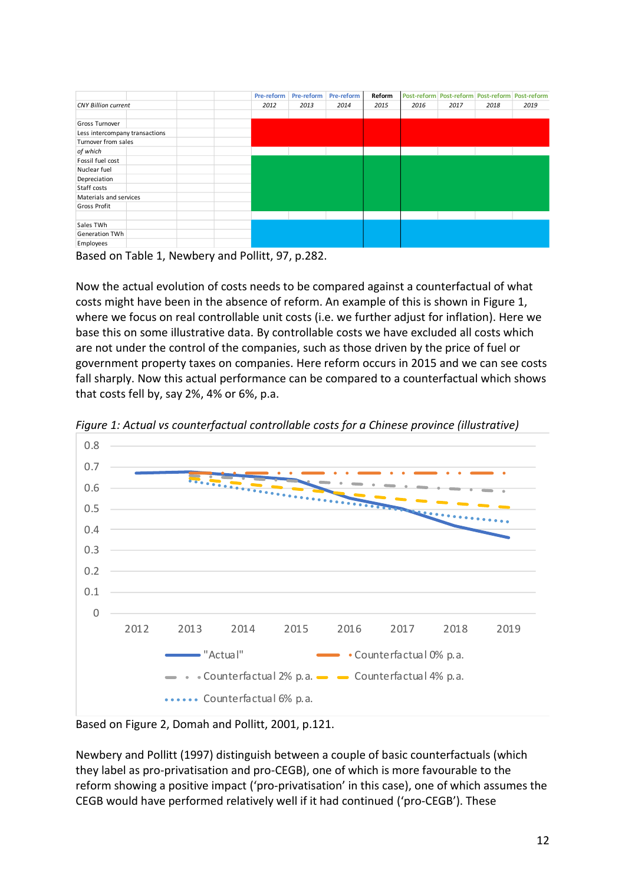|                                |  |      | Pre-reform | Pre-reform | Pre-reform | Reform | Post-reform Post-reform Post-reform Post-reform |      |      |  |
|--------------------------------|--|------|------------|------------|------------|--------|-------------------------------------------------|------|------|--|
| <b>CNY Billion current</b>     |  | 2012 | 2013       | 2014       | 2015       | 2016   | 2017                                            | 2018 | 2019 |  |
| Gross Turnover                 |  |      |            |            |            |        |                                                 |      |      |  |
| Less intercompany transactions |  |      |            |            |            |        |                                                 |      |      |  |
| Turnover from sales            |  |      |            |            |            |        |                                                 |      |      |  |
| of which                       |  |      |            |            |            |        |                                                 |      |      |  |
| Fossil fuel cost               |  |      |            |            |            |        |                                                 |      |      |  |
| Nuclear fuel                   |  |      |            |            |            |        |                                                 |      |      |  |
| Depreciation                   |  |      |            |            |            |        |                                                 |      |      |  |
| Staff costs                    |  |      |            |            |            |        |                                                 |      |      |  |
| Materials and services         |  |      |            |            |            |        |                                                 |      |      |  |
| Gross Profit                   |  |      |            |            |            |        |                                                 |      |      |  |
|                                |  |      |            |            |            |        |                                                 |      |      |  |
| Sales TWh                      |  |      |            |            |            |        |                                                 |      |      |  |
| Generation TWh                 |  |      |            |            |            |        |                                                 |      |      |  |
| Employees                      |  |      |            |            |            |        |                                                 |      |      |  |

Based on Table 1, Newbery and Pollitt, 97, p.282.

Now the actual evolution of costs needs to be compared against a counterfactual of what costs might have been in the absence of reform. An example of this is shown in Figure 1, where we focus on real controllable unit costs (i.e. we further adjust for inflation). Here we base this on some illustrative data. By controllable costs we have excluded all costs which are not under the control of the companies, such as those driven by the price of fuel or government property taxes on companies. Here reform occurs in 2015 and we can see costs fall sharply. Now this actual performance can be compared to a counterfactual which shows that costs fell by, say 2%, 4% or 6%, p.a.



*Figure 1: Actual vs counterfactual controllable costs for a Chinese province (illustrative)*

Based on Figure 2, Domah and Pollitt, 2001, p.121.

Newbery and Pollitt (1997) distinguish between a couple of basic counterfactuals (which they label as pro-privatisation and pro-CEGB), one of which is more favourable to the reform showing a positive impact ('pro-privatisation' in this case), one of which assumes the CEGB would have performed relatively well if it had continued ('pro-CEGB'). These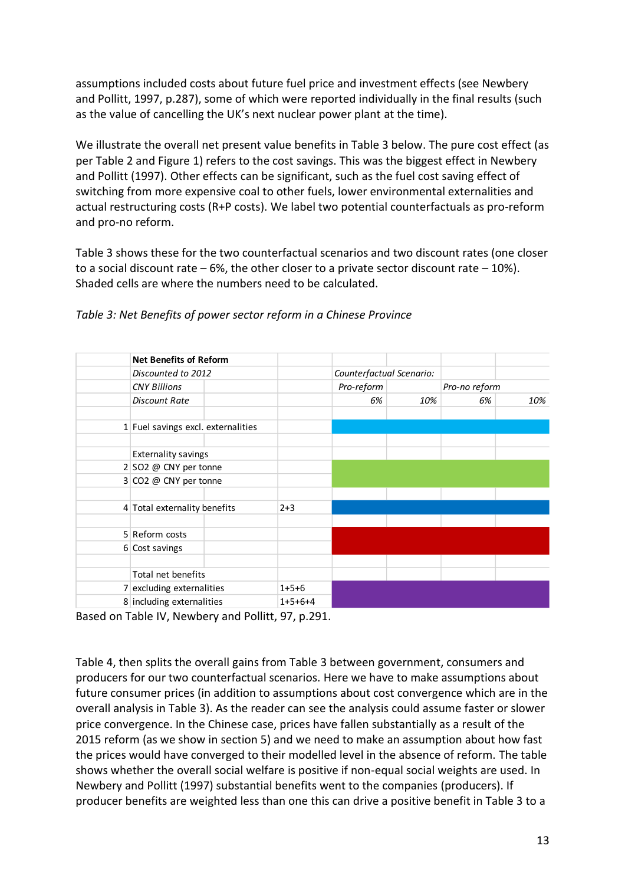assumptions included costs about future fuel price and investment effects (see Newbery and Pollitt, 1997, p.287), some of which were reported individually in the final results (such as the value of cancelling the UK's next nuclear power plant at the time).

We illustrate the overall net present value benefits in Table 3 below. The pure cost effect (as per Table 2 and Figure 1) refers to the cost savings. This was the biggest effect in Newbery and Pollitt (1997). Other effects can be significant, such as the fuel cost saving effect of switching from more expensive coal to other fuels, lower environmental externalities and actual restructuring costs (R+P costs). We label two potential counterfactuals as pro-reform and pro-no reform.

Table 3 shows these for the two counterfactual scenarios and two discount rates (one closer to a social discount rate  $-6\%$ , the other closer to a private sector discount rate  $-10\%$ ). Shaded cells are where the numbers need to be calculated.

| <b>Net Benefits of Reform</b>      |  |           |                          |     |               |     |  |
|------------------------------------|--|-----------|--------------------------|-----|---------------|-----|--|
| Discounted to 2012                 |  |           | Counterfactual Scenario: |     |               |     |  |
| <b>CNY Billions</b>                |  |           | Pro-reform               |     | Pro-no reform |     |  |
| <b>Discount Rate</b>               |  |           | 6%                       | 10% | 6%            | 10% |  |
| 1 Fuel savings excl. externalities |  |           |                          |     |               |     |  |
|                                    |  |           |                          |     |               |     |  |
| <b>Externality savings</b>         |  |           |                          |     |               |     |  |
| $2 SO2 \t@ CNY$ per tonne          |  |           |                          |     |               |     |  |
| 3 CO2 @ CNY per tonne              |  |           |                          |     |               |     |  |
|                                    |  |           |                          |     |               |     |  |
| 4 Total externality benefits       |  | $2 + 3$   |                          |     |               |     |  |
|                                    |  |           |                          |     |               |     |  |
| 5 Reform costs                     |  |           |                          |     |               |     |  |
| 6 Cost savings                     |  |           |                          |     |               |     |  |
| Total net benefits                 |  |           |                          |     |               |     |  |
| 7 excluding externalities          |  | $1+5+6$   |                          |     |               |     |  |
| 8 including externalities          |  | $1+5+6+4$ |                          |     |               |     |  |

*Table 3: Net Benefits of power sector reform in a Chinese Province*

Based on Table IV, Newbery and Pollitt, 97, p.291.

Table 4, then splits the overall gains from Table 3 between government, consumers and producers for our two counterfactual scenarios. Here we have to make assumptions about future consumer prices (in addition to assumptions about cost convergence which are in the overall analysis in Table 3). As the reader can see the analysis could assume faster or slower price convergence. In the Chinese case, prices have fallen substantially as a result of the 2015 reform (as we show in section 5) and we need to make an assumption about how fast the prices would have converged to their modelled level in the absence of reform. The table shows whether the overall social welfare is positive if non-equal social weights are used. In Newbery and Pollitt (1997) substantial benefits went to the companies (producers). If producer benefits are weighted less than one this can drive a positive benefit in Table 3 to a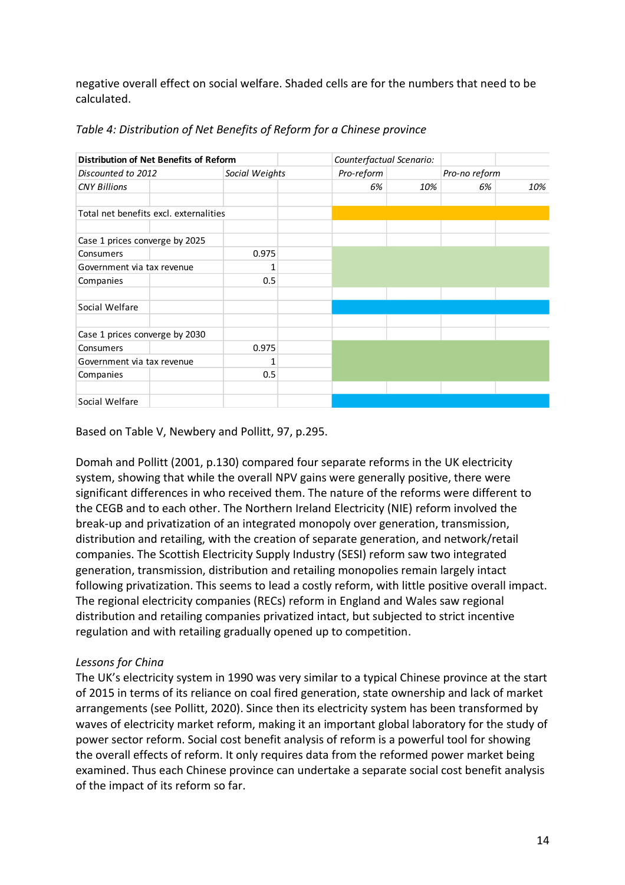negative overall effect on social welfare. Shaded cells are for the numbers that need to be calculated.

| Distribution of Net Benefits of Reform |  |                |  | Counterfactual Scenario: |     |               |     |
|----------------------------------------|--|----------------|--|--------------------------|-----|---------------|-----|
| Discounted to 2012                     |  | Social Weights |  | Pro-reform               |     | Pro-no reform |     |
| <b>CNY Billions</b>                    |  |                |  | 6%                       | 10% | 6%            | 10% |
| Total net benefits excl. externalities |  |                |  |                          |     |               |     |
| Case 1 prices converge by 2025         |  |                |  |                          |     |               |     |
| Consumers                              |  | 0.975          |  |                          |     |               |     |
| Government via tax revenue             |  |                |  |                          |     |               |     |
| Companies                              |  | 0.5            |  |                          |     |               |     |
| Social Welfare                         |  |                |  |                          |     |               |     |
| Case 1 prices converge by 2030         |  |                |  |                          |     |               |     |
| Consumers                              |  | 0.975          |  |                          |     |               |     |
| Government via tax revenue             |  |                |  |                          |     |               |     |
| Companies                              |  | 0.5            |  |                          |     |               |     |
|                                        |  |                |  |                          |     |               |     |
| Social Welfare                         |  |                |  |                          |     |               |     |

*Table 4: Distribution of Net Benefits of Reform for a Chinese province*

Based on Table V, Newbery and Pollitt, 97, p.295.

Domah and Pollitt (2001, p.130) compared four separate reforms in the UK electricity system, showing that while the overall NPV gains were generally positive, there were significant differences in who received them. The nature of the reforms were different to the CEGB and to each other. The Northern Ireland Electricity (NIE) reform involved the break-up and privatization of an integrated monopoly over generation, transmission, distribution and retailing, with the creation of separate generation, and network/retail companies. The Scottish Electricity Supply Industry (SESI) reform saw two integrated generation, transmission, distribution and retailing monopolies remain largely intact following privatization. This seems to lead a costly reform, with little positive overall impact. The regional electricity companies (RECs) reform in England and Wales saw regional distribution and retailing companies privatized intact, but subjected to strict incentive regulation and with retailing gradually opened up to competition.

# *Lessons for China*

The UK's electricity system in 1990 was very similar to a typical Chinese province at the start of 2015 in terms of its reliance on coal fired generation, state ownership and lack of market arrangements (see Pollitt, 2020). Since then its electricity system has been transformed by waves of electricity market reform, making it an important global laboratory for the study of power sector reform. Social cost benefit analysis of reform is a powerful tool for showing the overall effects of reform. It only requires data from the reformed power market being examined. Thus each Chinese province can undertake a separate social cost benefit analysis of the impact of its reform so far.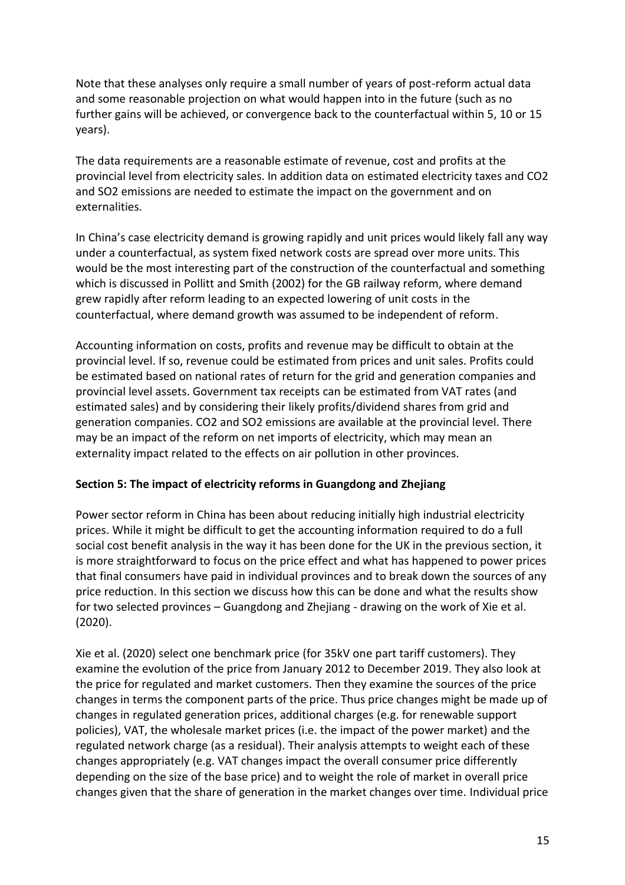Note that these analyses only require a small number of years of post-reform actual data and some reasonable projection on what would happen into in the future (such as no further gains will be achieved, or convergence back to the counterfactual within 5, 10 or 15 years).

The data requirements are a reasonable estimate of revenue, cost and profits at the provincial level from electricity sales. In addition data on estimated electricity taxes and CO2 and SO2 emissions are needed to estimate the impact on the government and on externalities.

In China's case electricity demand is growing rapidly and unit prices would likely fall any way under a counterfactual, as system fixed network costs are spread over more units. This would be the most interesting part of the construction of the counterfactual and something which is discussed in Pollitt and Smith (2002) for the GB railway reform, where demand grew rapidly after reform leading to an expected lowering of unit costs in the counterfactual, where demand growth was assumed to be independent of reform.

Accounting information on costs, profits and revenue may be difficult to obtain at the provincial level. If so, revenue could be estimated from prices and unit sales. Profits could be estimated based on national rates of return for the grid and generation companies and provincial level assets. Government tax receipts can be estimated from VAT rates (and estimated sales) and by considering their likely profits/dividend shares from grid and generation companies. CO2 and SO2 emissions are available at the provincial level. There may be an impact of the reform on net imports of electricity, which may mean an externality impact related to the effects on air pollution in other provinces.

# **Section 5: The impact of electricity reforms in Guangdong and Zhejiang**

Power sector reform in China has been about reducing initially high industrial electricity prices. While it might be difficult to get the accounting information required to do a full social cost benefit analysis in the way it has been done for the UK in the previous section, it is more straightforward to focus on the price effect and what has happened to power prices that final consumers have paid in individual provinces and to break down the sources of any price reduction. In this section we discuss how this can be done and what the results show for two selected provinces – Guangdong and Zhejiang - drawing on the work of Xie et al. (2020).

Xie et al. (2020) select one benchmark price (for 35kV one part tariff customers). They examine the evolution of the price from January 2012 to December 2019. They also look at the price for regulated and market customers. Then they examine the sources of the price changes in terms the component parts of the price. Thus price changes might be made up of changes in regulated generation prices, additional charges (e.g. for renewable support policies), VAT, the wholesale market prices (i.e. the impact of the power market) and the regulated network charge (as a residual). Their analysis attempts to weight each of these changes appropriately (e.g. VAT changes impact the overall consumer price differently depending on the size of the base price) and to weight the role of market in overall price changes given that the share of generation in the market changes over time. Individual price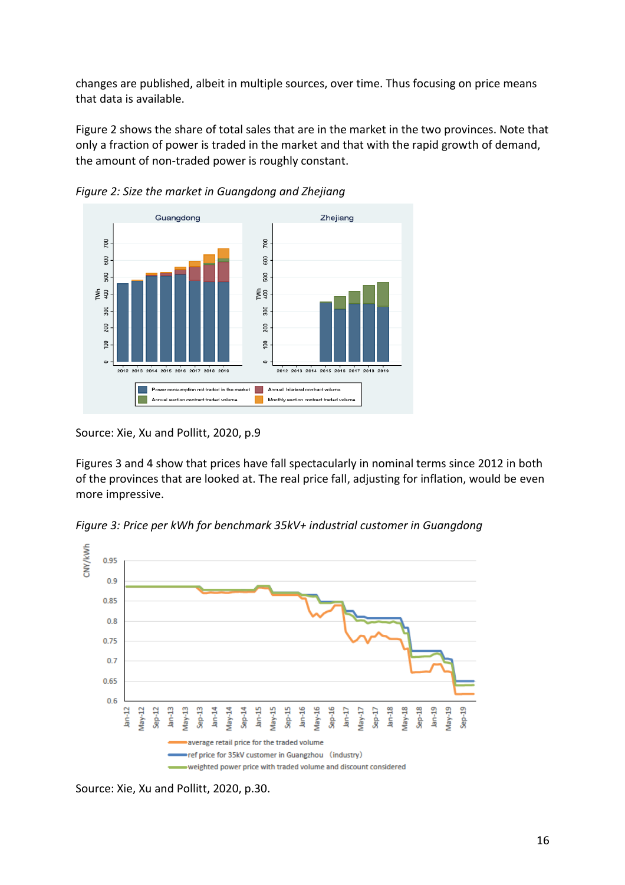changes are published, albeit in multiple sources, over time. Thus focusing on price means that data is available.

Figure 2 shows the share of total sales that are in the market in the two provinces. Note that only a fraction of power is traded in the market and that with the rapid growth of demand, the amount of non-traded power is roughly constant.



*Figure 2: Size the market in Guangdong and Zhejiang*

Source: Xie, Xu and Pollitt, 2020, p.9

Figures 3 and 4 show that prices have fall spectacularly in nominal terms since 2012 in both of the provinces that are looked at. The real price fall, adjusting for inflation, would be even more impressive.

*Figure 3: Price per kWh for benchmark 35kV+ industrial customer in Guangdong*



Source: Xie, Xu and Pollitt, 2020, p.30.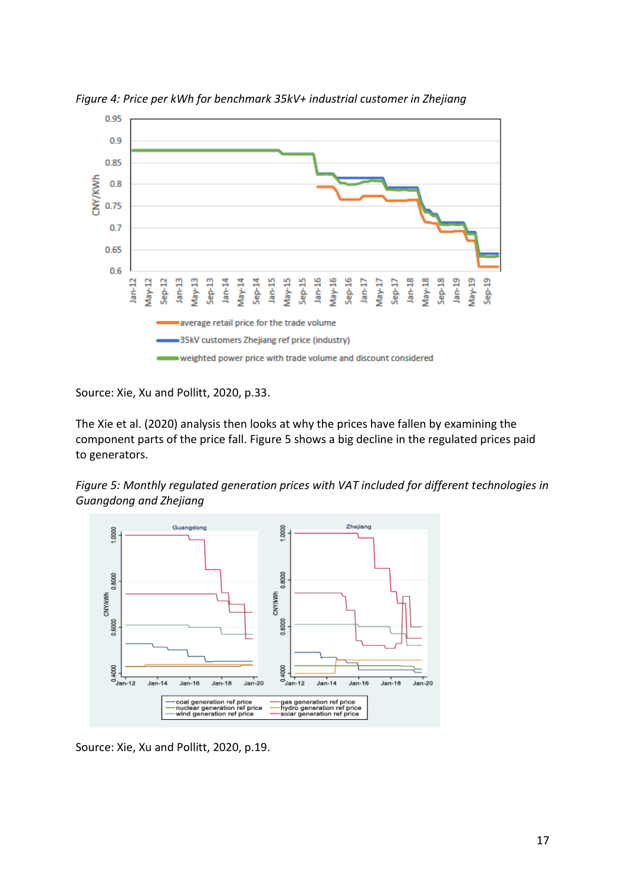

*Figure 4: Price per kWh for benchmark 35kV+ industrial customer in Zhejiang*

Source: Xie, Xu and Pollitt, 2020, p.33.

The Xie et al. (2020) analysis then looks at why the prices have fallen by examining the component parts of the price fall. Figure 5 shows a big decline in the regulated prices paid to generators.





Source: Xie, Xu and Pollitt, 2020, p.19.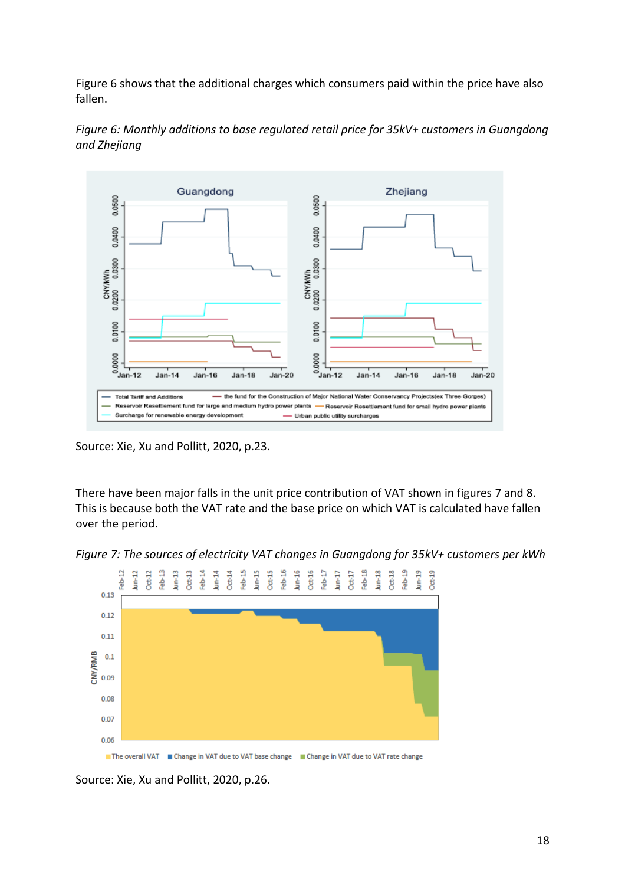Figure 6 shows that the additional charges which consumers paid within the price have also fallen.



*Figure 6: Monthly additions to base regulated retail price for 35kV+ customers in Guangdong and Zhejiang*

Source: Xie, Xu and Pollitt, 2020, p.23.

There have been major falls in the unit price contribution of VAT shown in figures 7 and 8. This is because both the VAT rate and the base price on which VAT is calculated have fallen over the period.

*Figure 7: The sources of electricity VAT changes in Guangdong for 35kV+ customers per kWh*



Source: Xie, Xu and Pollitt, 2020, p.26.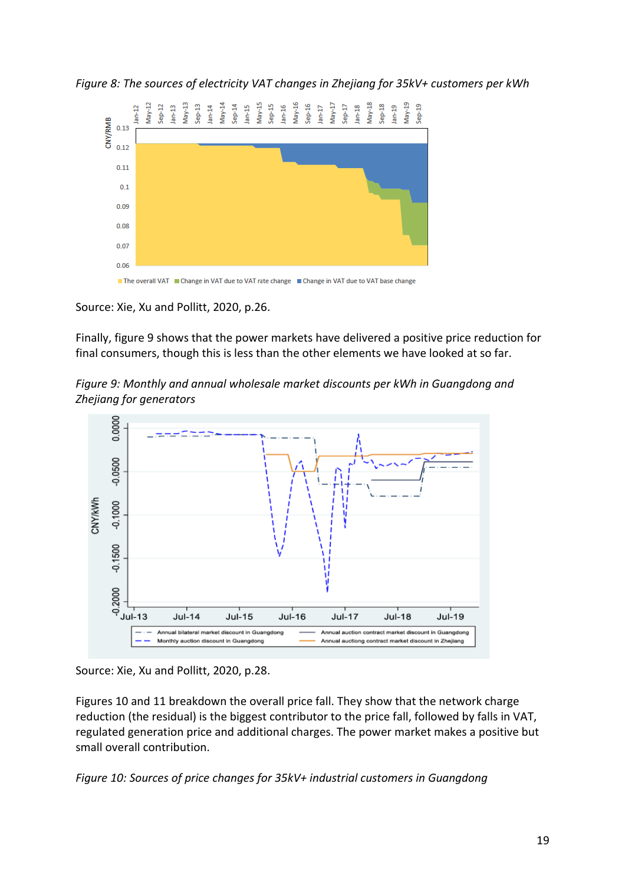*Figure 8: The sources of electricity VAT changes in Zhejiang for 35kV+ customers per kWh*



Source: Xie, Xu and Pollitt, 2020, p.26.

Finally, figure 9 shows that the power markets have delivered a positive price reduction for final consumers, though this is less than the other elements we have looked at so far.

*Figure 9: Monthly and annual wholesale market discounts per kWh in Guangdong and Zhejiang for generators*



Source: Xie, Xu and Pollitt, 2020, p.28.

Figures 10 and 11 breakdown the overall price fall. They show that the network charge reduction (the residual) is the biggest contributor to the price fall, followed by falls in VAT, regulated generation price and additional charges. The power market makes a positive but small overall contribution.

*Figure 10: Sources of price changes for 35kV+ industrial customers in Guangdong*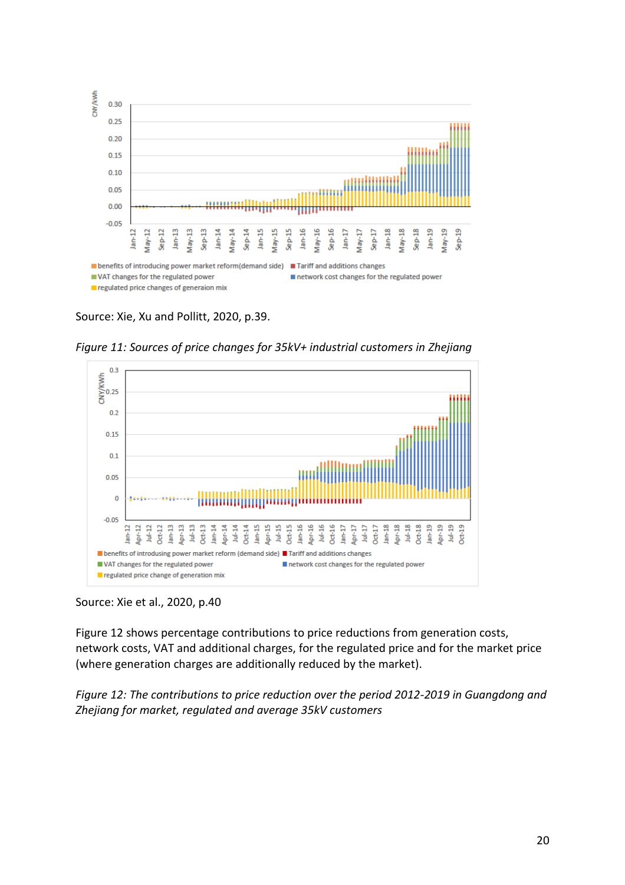

Source: Xie, Xu and Pollitt, 2020, p.39.

*Figure 11: Sources of price changes for 35kV+ industrial customers in Zhejiang*



#### Source: Xie et al., 2020, p.40

Figure 12 shows percentage contributions to price reductions from generation costs, network costs, VAT and additional charges, for the regulated price and for the market price (where generation charges are additionally reduced by the market).

*Figure 12: The contributions to price reduction over the period 2012-2019 in Guangdong and Zhejiang for market, regulated and average 35kV customers*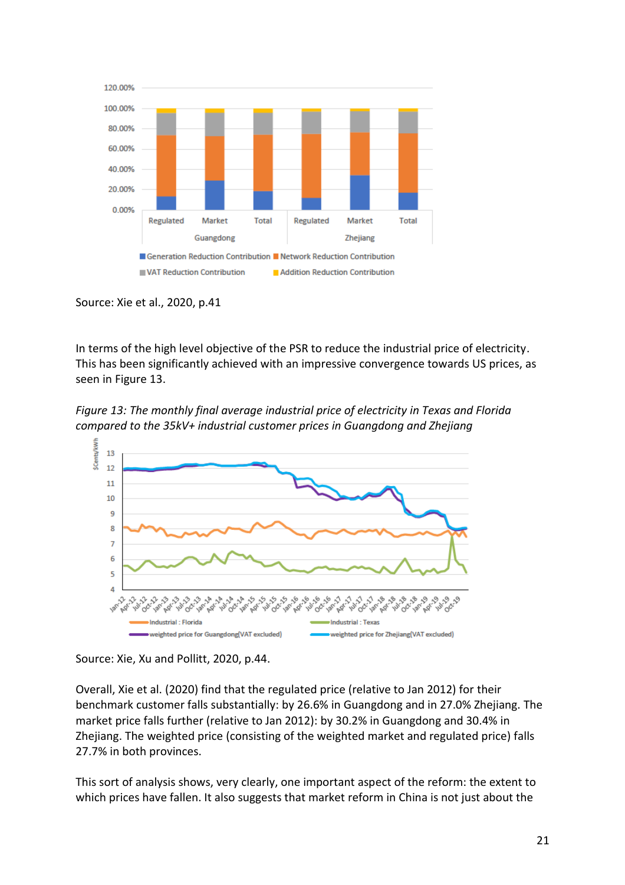

Source: Xie et al., 2020, p.41

In terms of the high level objective of the PSR to reduce the industrial price of electricity. This has been significantly achieved with an impressive convergence towards US prices, as seen in Figure 13.

*Figure 13: The monthly final average industrial price of electricity in Texas and Florida compared to the 35kV+ industrial customer prices in Guangdong and Zhejiang*



Source: Xie, Xu and Pollitt, 2020, p.44.

Overall, Xie et al. (2020) find that the regulated price (relative to Jan 2012) for their benchmark customer falls substantially: by 26.6% in Guangdong and in 27.0% Zhejiang. The market price falls further (relative to Jan 2012): by 30.2% in Guangdong and 30.4% in Zhejiang. The weighted price (consisting of the weighted market and regulated price) falls 27.7% in both provinces.

This sort of analysis shows, very clearly, one important aspect of the reform: the extent to which prices have fallen. It also suggests that market reform in China is not just about the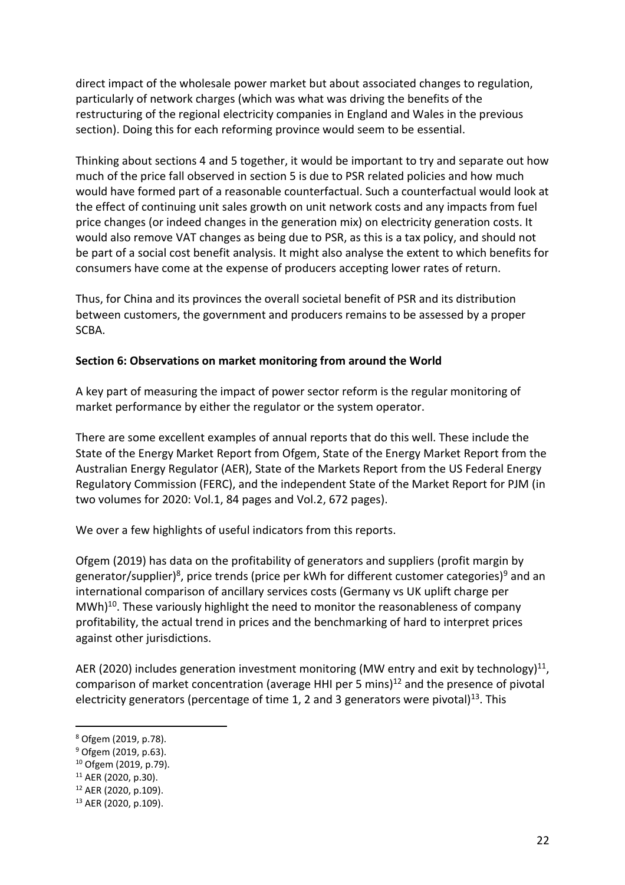direct impact of the wholesale power market but about associated changes to regulation, particularly of network charges (which was what was driving the benefits of the restructuring of the regional electricity companies in England and Wales in the previous section). Doing this for each reforming province would seem to be essential.

Thinking about sections 4 and 5 together, it would be important to try and separate out how much of the price fall observed in section 5 is due to PSR related policies and how much would have formed part of a reasonable counterfactual. Such a counterfactual would look at the effect of continuing unit sales growth on unit network costs and any impacts from fuel price changes (or indeed changes in the generation mix) on electricity generation costs. It would also remove VAT changes as being due to PSR, as this is a tax policy, and should not be part of a social cost benefit analysis. It might also analyse the extent to which benefits for consumers have come at the expense of producers accepting lower rates of return.

Thus, for China and its provinces the overall societal benefit of PSR and its distribution between customers, the government and producers remains to be assessed by a proper SCBA.

#### **Section 6: Observations on market monitoring from around the World**

A key part of measuring the impact of power sector reform is the regular monitoring of market performance by either the regulator or the system operator.

There are some excellent examples of annual reports that do this well. These include the State of the Energy Market Report from Ofgem, State of the Energy Market Report from the Australian Energy Regulator (AER), State of the Markets Report from the US Federal Energy Regulatory Commission (FERC), and the independent State of the Market Report for PJM (in two volumes for 2020: Vol.1, 84 pages and Vol.2, 672 pages).

We over a few highlights of useful indicators from this reports.

Ofgem (2019) has data on the profitability of generators and suppliers (profit margin by generator/supplier)<sup>8</sup>, price trends (price per kWh for different customer categories)<sup>9</sup> and an international comparison of ancillary services costs (Germany vs UK uplift charge per MWh)<sup>10</sup>. These variously highlight the need to monitor the reasonableness of company profitability, the actual trend in prices and the benchmarking of hard to interpret prices against other jurisdictions.

AER (2020) includes generation investment monitoring (MW entry and exit by technology)<sup>11</sup>, comparison of market concentration (average HHI per 5 mins) $^{12}$  and the presence of pivotal electricity generators (percentage of time 1, 2 and 3 generators were pivotal)<sup>13</sup>. This

<sup>8</sup> Ofgem (2019, p.78).

<sup>9</sup> Ofgem (2019, p.63).

<sup>10</sup> Ofgem (2019, p.79).

<sup>11</sup> AER (2020, p.30).

 $12$  AER (2020, p.109).

<sup>13</sup> AER (2020, p.109).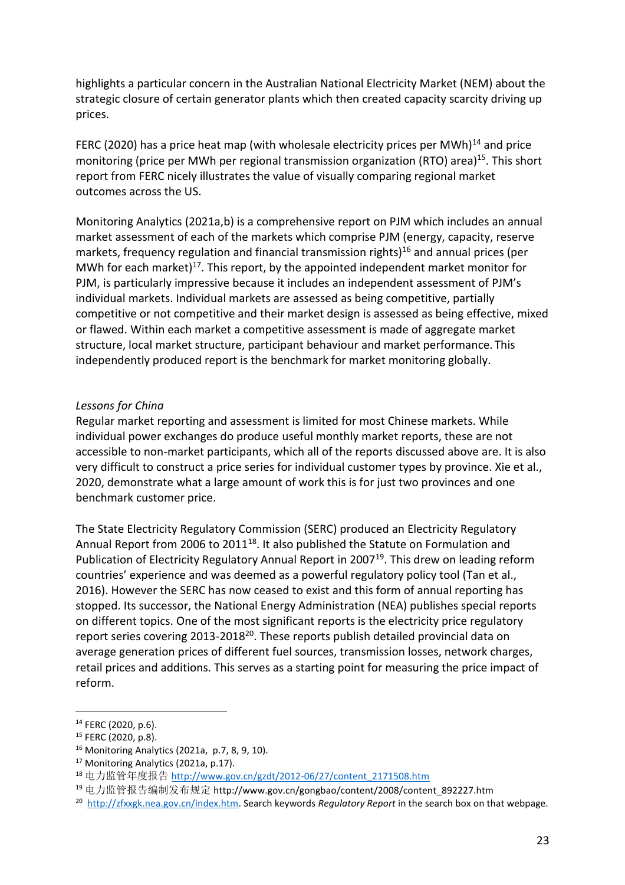highlights a particular concern in the Australian National Electricity Market (NEM) about the strategic closure of certain generator plants which then created capacity scarcity driving up prices.

FERC (2020) has a price heat map (with wholesale electricity prices per MWh) $^{14}$  and price monitoring (price per MWh per regional transmission organization (RTO) area)<sup>15</sup>. This short report from FERC nicely illustrates the value of visually comparing regional market outcomes across the US.

Monitoring Analytics (2021a,b) is a comprehensive report on PJM which includes an annual market assessment of each of the markets which comprise PJM (energy, capacity, reserve markets, frequency regulation and financial transmission rights)<sup>16</sup> and annual prices (per MWh for each market)<sup>17</sup>. This report, by the appointed independent market monitor for PJM, is particularly impressive because it includes an independent assessment of PJM's individual markets. Individual markets are assessed as being competitive, partially competitive or not competitive and their market design is assessed as being effective, mixed or flawed. Within each market a competitive assessment is made of aggregate market structure, local market structure, participant behaviour and market performance. This independently produced report is the benchmark for market monitoring globally.

#### *Lessons for China*

Regular market reporting and assessment is limited for most Chinese markets. While individual power exchanges do produce useful monthly market reports, these are not accessible to non-market participants, which all of the reports discussed above are. It is also very difficult to construct a price series for individual customer types by province. Xie et al., 2020, demonstrate what a large amount of work this is for just two provinces and one benchmark customer price.

The State Electricity Regulatory Commission (SERC) produced an Electricity Regulatory Annual Report from 2006 to 2011<sup>18</sup>. It also published the Statute on Formulation and Publication of Electricity Regulatory Annual Report in 2007<sup>19</sup>. This drew on leading reform countries' experience and was deemed as a powerful regulatory policy tool (Tan et al., 2016). However the SERC has now ceased to exist and this form of annual reporting has stopped. Its successor, the National Energy Administration (NEA) publishes special reports on different topics. One of the most significant reports is the electricity price regulatory report series covering 2013-2018<sup>20</sup>. These reports publish detailed provincial data on average generation prices of different fuel sources, transmission losses, network charges, retail prices and additions. This serves as a starting point for measuring the price impact of reform.

<sup>14</sup> FERC (2020, p.6).

<sup>15</sup> FERC (2020, p.8).

<sup>16</sup> Monitoring Analytics (2021a, p.7, 8, 9, 10).

<sup>&</sup>lt;sup>17</sup> Monitoring Analytics (2021a, p.17).

<sup>18</sup> 电力监管年度报告 http://www.gov.cn/gzdt/2012-06/27/content\_2171508.htm

<sup>19</sup> 电力监管报告编制发布规定 http://www.gov.cn/gongbao/content/2008/content\_892227.htm

<sup>20</sup> [http://zfxxgk.nea.gov.cn/index.htm.](http://zfxxgk.nea.gov.cn/index.htm) Search keywords *Regulatory Report* in the search box on that webpage.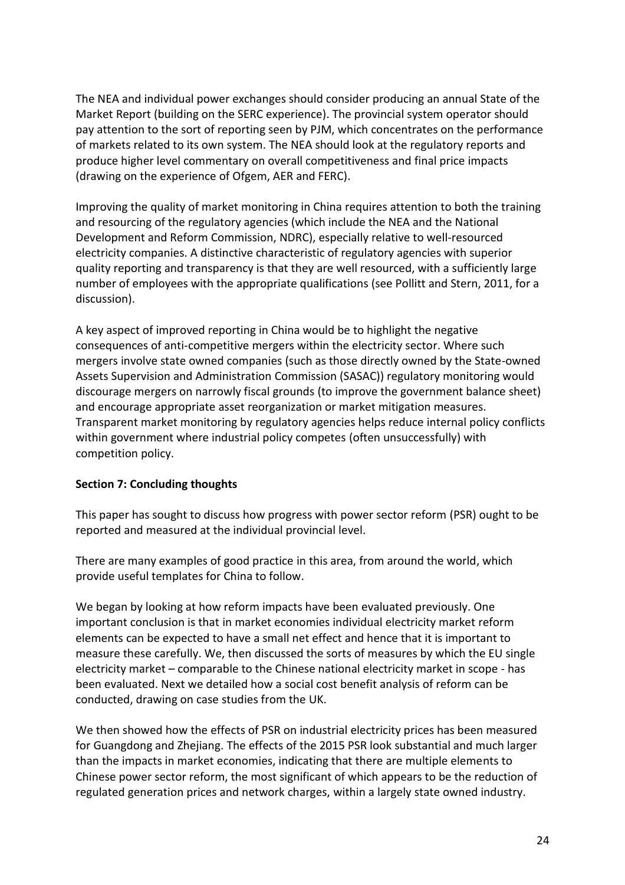The NEA and individual power exchanges should consider producing an annual State of the Market Report (building on the SERC experience). The provincial system operator should pay attention to the sort of reporting seen by PJM, which concentrates on the performance of markets related to its own system. The NEA should look at the regulatory reports and produce higher level commentary on overall competitiveness and final price impacts (drawing on the experience of Ofgem, AER and FERC).

Improving the quality of market monitoring in China requires attention to both the training and resourcing of the regulatory agencies (which include the NEA and the National Development and Reform Commission, NDRC), especially relative to well-resourced electricity companies. A distinctive characteristic of regulatory agencies with superior quality reporting and transparency is that they are well resourced, with a sufficiently large number of employees with the appropriate qualifications (see Pollitt and Stern, 2011, for a discussion).

A key aspect of improved reporting in China would be to highlight the negative consequences of anti-competitive mergers within the electricity sector. Where such mergers involve state owned companies (such as those directly owned by the State-owned Assets Supervision and Administration Commission (SASAC)) regulatory monitoring would discourage mergers on narrowly fiscal grounds (to improve the government balance sheet) and encourage appropriate asset reorganization or market mitigation measures. Transparent market monitoring by regulatory agencies helps reduce internal policy conflicts within government where industrial policy competes (often unsuccessfully) with competition policy.

# **Section 7: Concluding thoughts**

This paper has sought to discuss how progress with power sector reform (PSR) ought to be reported and measured at the individual provincial level.

There are many examples of good practice in this area, from around the world, which provide useful templates for China to follow.

We began by looking at how reform impacts have been evaluated previously. One important conclusion is that in market economies individual electricity market reform elements can be expected to have a small net effect and hence that it is important to measure these carefully. We, then discussed the sorts of measures by which the EU single electricity market – comparable to the Chinese national electricity market in scope - has been evaluated. Next we detailed how a social cost benefit analysis of reform can be conducted, drawing on case studies from the UK.

We then showed how the effects of PSR on industrial electricity prices has been measured for Guangdong and Zhejiang. The effects of the 2015 PSR look substantial and much larger than the impacts in market economies, indicating that there are multiple elements to Chinese power sector reform, the most significant of which appears to be the reduction of regulated generation prices and network charges, within a largely state owned industry.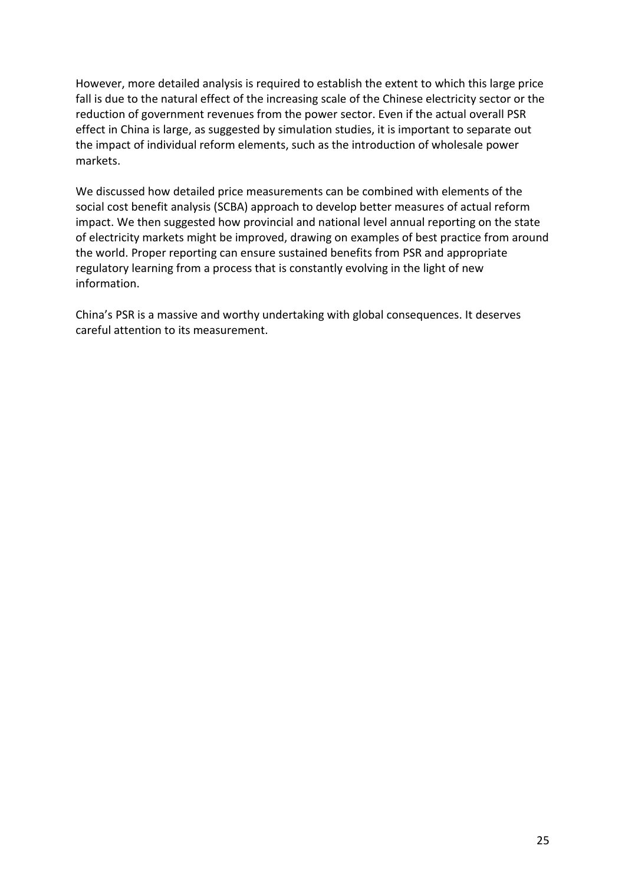However, more detailed analysis is required to establish the extent to which this large price fall is due to the natural effect of the increasing scale of the Chinese electricity sector or the reduction of government revenues from the power sector. Even if the actual overall PSR effect in China is large, as suggested by simulation studies, it is important to separate out the impact of individual reform elements, such as the introduction of wholesale power markets.

We discussed how detailed price measurements can be combined with elements of the social cost benefit analysis (SCBA) approach to develop better measures of actual reform impact. We then suggested how provincial and national level annual reporting on the state of electricity markets might be improved, drawing on examples of best practice from around the world. Proper reporting can ensure sustained benefits from PSR and appropriate regulatory learning from a process that is constantly evolving in the light of new information.

China's PSR is a massive and worthy undertaking with global consequences. It deserves careful attention to its measurement.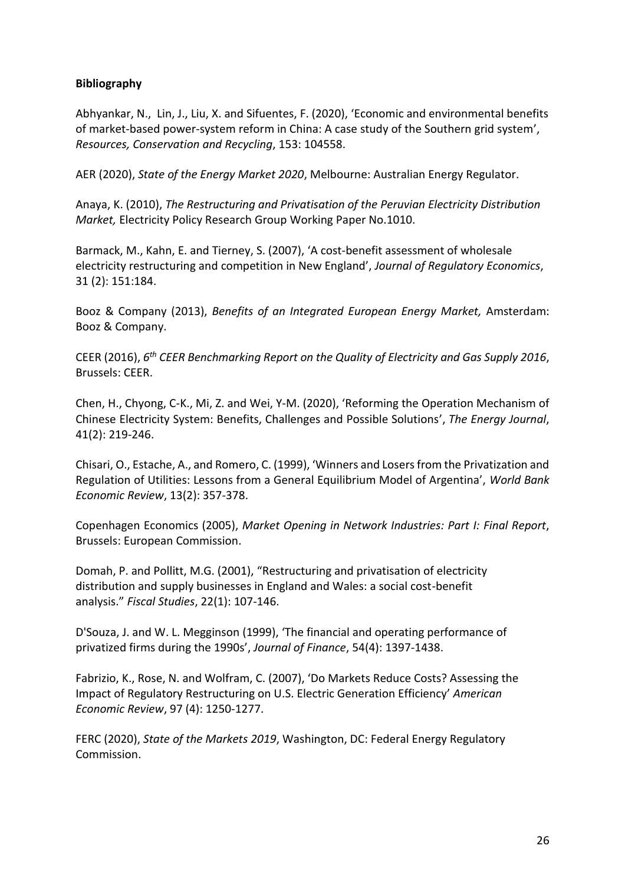# **Bibliography**

Abhyankar, N., Lin, J., Liu, X. and Sifuentes, F. (2020), 'Economic and environmental benefits of market-based power-system reform in China: A case study of the Southern grid system', *Resources, Conservation and Recycling*, 153: 104558.

AER (2020), *State of the Energy Market 2020*, Melbourne: Australian Energy Regulator.

Anaya, K. (2010), *The Restructuring and Privatisation of the Peruvian Electricity Distribution Market,* Electricity Policy Research Group Working Paper No.1010.

Barmack, M., Kahn, E. and Tierney, S. (2007), 'A cost‐benefit assessment of wholesale electricity restructuring and competition in New England', *Journal of Regulatory Economics*, 31 (2): 151:184.

Booz & Company (2013), *Benefits of an Integrated European Energy Market,* Amsterdam: Booz & Company.

CEER (2016), *6 th CEER Benchmarking Report on the Quality of Electricity and Gas Supply 2016*, Brussels: CEER.

Chen, H., Chyong, C-K., Mi, Z. and Wei, Y-M. (2020), 'Reforming the Operation Mechanism of Chinese Electricity System: Benefits, Challenges and Possible Solutions', *The Energy Journal*, 41(2): 219-246.

Chisari, O., Estache, A., and Romero, C. (1999), 'Winners and Losers from the Privatization and Regulation of Utilities: Lessons from a General Equilibrium Model of Argentina', *World Bank Economic Review*, 13(2): 357‐378.

Copenhagen Economics (2005), *Market Opening in Network Industries: Part I: Final Report*, Brussels: European Commission.

Domah, P. and Pollitt, M.G. (2001), "Restructuring and privatisation of electricity distribution and supply businesses in England and Wales: a social cost-benefit analysis." *Fiscal Studies*, 22(1): 107-146.

D'Souza, J. and W. L. Megginson (1999), 'The financial and operating performance of privatized firms during the 1990s', *Journal of Finance*, 54(4): 1397‐1438.

Fabrizio, K., Rose, N. and Wolfram, C. (2007), 'Do Markets Reduce Costs? Assessing the Impact of Regulatory Restructuring on U.S. Electric Generation Efficiency' *American Economic Review*, 97 (4): 1250‐1277.

FERC (2020), *State of the Markets 2019*, Washington, DC: Federal Energy Regulatory Commission.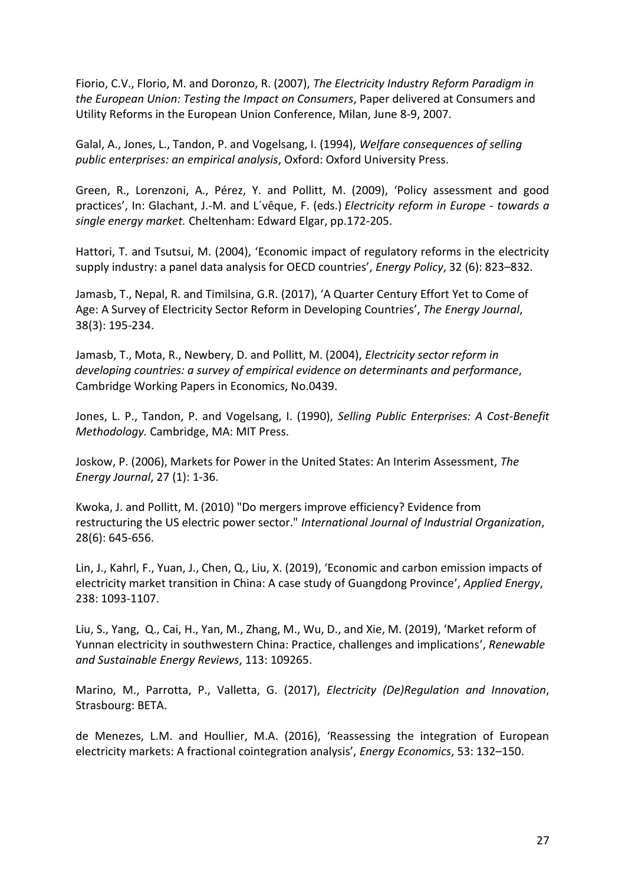Fiorio, C.V., Florio, M. and Doronzo, R. (2007), *The Electricity Industry Reform Paradigm in the European Union: Testing the Impact on Consumers*, Paper delivered at Consumers and Utility Reforms in the European Union Conference, Milan, June 8-9, 2007.

Galal, A., Jones, L., Tandon, P. and Vogelsang, I. (1994), *Welfare consequences of selling public enterprises: an empirical analysis*, Oxford: Oxford University Press.

Green, R., Lorenzoni, A., Pérez, Y. and Pollitt, M. (2009), 'Policy assessment and good practices', In: Glachant, J.-M. and L´vêque, F. (eds.) *Electricity reform in Europe - towards a single energy market.* Cheltenham: Edward Elgar, pp.172-205.

Hattori, T. and Tsutsui, M. (2004), 'Economic impact of regulatory reforms in the electricity supply industry: a panel data analysis for OECD countries', *Energy Policy*, 32 (6): 823–832.

Jamasb, T., Nepal, R. and Timilsina, G.R. (2017), 'A Quarter Century Effort Yet to Come of Age: A Survey of Electricity Sector Reform in Developing Countries', *The Energy Journal*, 38(3): 195-234.

Jamasb, T., Mota, R., Newbery, D. and Pollitt, M. (2004), *Electricity sector reform in developing countries: a survey of empirical evidence on determinants and performance*, Cambridge Working Papers in Economics, No.0439.

Jones, L. P., Tandon, P. and Vogelsang, I. (1990), *Selling Public Enterprises: A Cost-Benefit Methodology.* Cambridge, MA: MIT Press.

Joskow, P. (2006), Markets for Power in the United States: An Interim Assessment, *The Energy Journal*, 27 (1): 1‐36.

Kwoka, J. and Pollitt, M. (2010) "Do mergers improve efficiency? Evidence from restructuring the US electric power sector." *International Journal of Industrial Organization*, 28(6): 645‐656.

Lin, J., Kahrl, F., Yuan, J., Chen, Q., Liu, X. (2019), 'Economic and carbon emission impacts of electricity market transition in China: A case study of Guangdong Province', *Applied Energy*, 238: 1093-1107.

Liu, S., Yang, Q., Cai, H., Yan, M., Zhang, M., Wu, D., and Xie, M. (2019), 'Market reform of Yunnan electricity in southwestern China: Practice, challenges and implications', *Renewable and Sustainable Energy Reviews*, 113: 109265.

Marino, M., Parrotta, P., Valletta, G. (2017), *Electricity (De)Regulation and Innovation*, Strasbourg: BETA.

de Menezes, L.M. and Houllier, M.A. (2016), 'Reassessing the integration of European electricity markets: A fractional cointegration analysis', *Energy Economics*, 53: 132–150.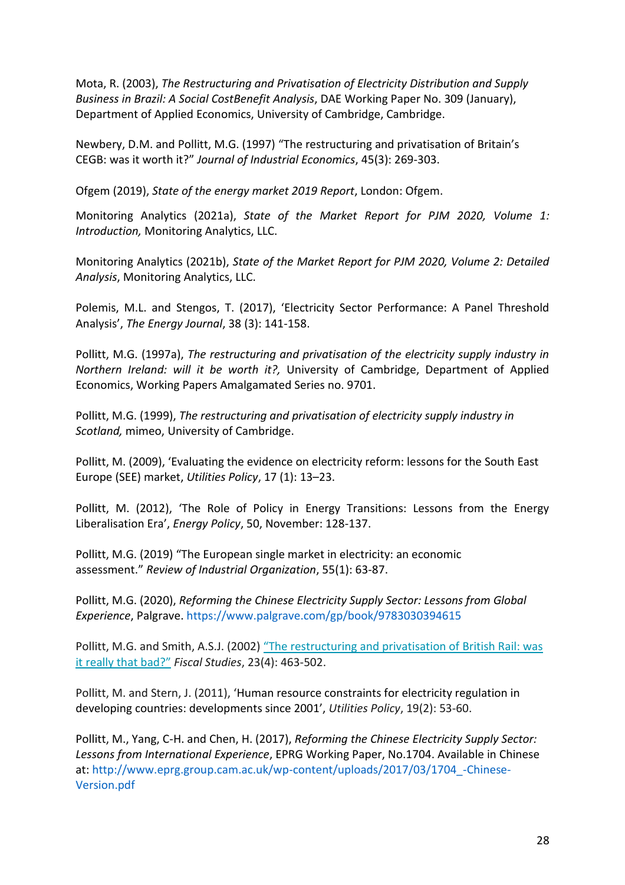Mota, R. (2003), *The Restructuring and Privatisation of Electricity Distribution and Supply Business in Brazil: A Social CostBenefit Analysis*, DAE Working Paper No. 309 (January), Department of Applied Economics, University of Cambridge, Cambridge.

Newbery, D.M. and Pollitt, M.G. (1997) "The restructuring and privatisation of Britain's CEGB: was it worth it?" *Journal of Industrial Economics*, 45(3): 269-303.

Ofgem (2019), *State of the energy market 2019 Report*, London: Ofgem.

Monitoring Analytics (2021a), *State of the Market Report for PJM 2020, Volume 1: Introduction,* Monitoring Analytics, LLC.

Monitoring Analytics (2021b), *State of the Market Report for PJM 2020, Volume 2: Detailed Analysis*, Monitoring Analytics, LLC.

Polemis, M.L. and Stengos, T. (2017), 'Electricity Sector Performance: A Panel Threshold Analysis', *The Energy Journal*, 38 (3): 141-158.

Pollitt, M.G. (1997a), *The restructuring and privatisation of the electricity supply industry in Northern Ireland: will it be worth it?,* University of Cambridge, Department of Applied Economics, Working Papers Amalgamated Series no. 9701.

Pollitt, M.G. (1999), *The restructuring and privatisation of electricity supply industry in Scotland,* mimeo, University of Cambridge.

Pollitt, M. (2009), 'Evaluating the evidence on electricity reform: lessons for the South East Europe (SEE) market, *Utilities Policy*, 17 (1): 13–23.

Pollitt, M. (2012), 'The Role of Policy in Energy Transitions: Lessons from the Energy Liberalisation Era', *Energy Policy*, 50, November: 128-137.

Pollitt, M.G. (2019) "The European single market in electricity: an economic assessment." *Review of Industrial Organization*, 55(1): 63-87.

Pollitt, M.G. (2020), *Reforming the Chinese Electricity Supply Sector: Lessons from Global Experience*, Palgrave.<https://www.palgrave.com/gp/book/9783030394615>

Pollitt, M.G. and Smith, A.S.J. (2002) "The restructuring and privatisation of British Rail: was [it really that bad?"](https://dx.doi.org/10.1111/j.1475-5890.2002.tb00069.x) *Fiscal Studies*, 23(4): 463-502.

Pollitt, M. and Stern, J. (2011), 'Human resource constraints for electricity regulation in developing countries: developments since 2001', *Utilities Policy*, 19(2): 53-60.

Pollitt, M., Yang, C-H. and Chen, H. (2017), *Reforming the Chinese Electricity Supply Sector: Lessons from International Experience*, EPRG Working Paper, No.1704. Available in Chinese at[: http://www.eprg.group.cam.ac.uk/wp-content/uploads/2017/03/1704\\_-Chinese-](http://www.eprg.group.cam.ac.uk/wp-content/uploads/2017/03/1704_-Chinese-Version.pdf)[Version.pdf](http://www.eprg.group.cam.ac.uk/wp-content/uploads/2017/03/1704_-Chinese-Version.pdf)